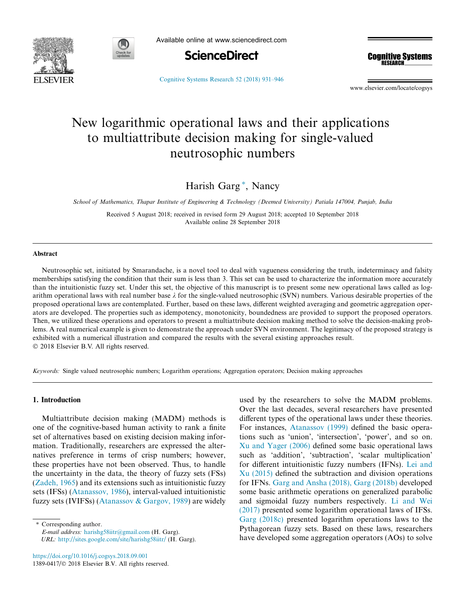



Available online at www.sciencedirect.com



**Cognitive Systems RESEARCH** 

[Cognitive Systems Research 52 \(2018\) 931–946](https://doi.org/10.1016/j.cogsys.2018.09.001)

www.elsevier.com/locate/cogsys

# New logarithmic operational laws and their applications to multiattribute decision making for single-valued neutrosophic numbers

Harish Garg<sup>\*</sup>, Nancy

School of Mathematics, Thapar Institute of Engineering & Technology (Deemed University) Patiala 147004, Punjab, India

Received 5 August 2018; received in revised form 29 August 2018; accepted 10 September 2018 Available online 28 September 2018

#### Abstract

Neutrosophic set, initiated by Smarandache, is a novel tool to deal with vagueness considering the truth, indeterminacy and falsity memberships satisfying the condition that their sum is less than 3. This set can be used to characterize the information more accurately than the intuitionistic fuzzy set. Under this set, the objective of this manuscript is to present some new operational laws called as logarithm operational laws with real number base  $\lambda$  for the single-valued neutrosophic (SVN) numbers. Various desirable properties of the proposed operational laws are contemplated. Further, based on these laws, different weighted averaging and geometric aggregation operators are developed. The properties such as idempotency, monotonicity, boundedness are provided to support the proposed operators. Then, we utilized these operations and operators to present a multiattribute decision making method to solve the decision-making problems. A real numerical example is given to demonstrate the approach under SVN environment. The legitimacy of the proposed strategy is exhibited with a numerical illustration and compared the results with the several existing approaches result. 2018 Elsevier B.V. All rights reserved.

Keywords: Single valued neutrosophic numbers; Logarithm operations; Aggregation operators; Decision making approaches

#### 1. Introduction

Multiattribute decision making (MADM) methods is one of the cognitive-based human activity to rank a finite set of alternatives based on existing decision making information. Traditionally, researchers are expressed the alternatives preference in terms of crisp numbers; however, these properties have not been observed. Thus, to handle the uncertainty in the data, the theory of fuzzy sets (FSs) ([Zadeh, 1965](#page-15-0)) and its extensions such as intuitionistic fuzzy sets (IFSs) ([Atanassov, 1986](#page-14-0)), interval-valued intuitionistic fuzzy sets (IVIFSs) [\(Atanassov & Gargov, 1989](#page-14-0)) are widely

\* Corresponding author. E-mail address: [harishg58iitr@gmail.com](mailto:harishg58iitr@gmail.com) (H. Garg). URL: <http://sites.google.com/site/harishg58iitr/> (H. Garg).

<https://doi.org/10.1016/j.cogsys.2018.09.001> 1389-0417/ $\odot$  2018 Elsevier B.V. All rights reserved. used by the researchers to solve the MADM problems. Over the last decades, several researchers have presented different types of the operational laws under these theories. For instances, [Atanassov \(1999\)](#page-14-0) defined the basic operations such as 'union', 'intersection', 'power', and so on. [Xu and Yager \(2006\)](#page-15-0) defined some basic operational laws such as 'addition', 'subtraction', 'scalar multiplication' for different intuitionistic fuzzy numbers (IFNs). [Lei and](#page-15-0) [Xu \(2015\)](#page-15-0) defined the subtraction and division operations for IFNs. [Garg and Ansha \(2018\), Garg \(2018b\)](#page-14-0) developed some basic arithmetic operations on generalized parabolic and sigmoidal fuzzy numbers respectively. [Li and Wei](#page-15-0) [\(2017\)](#page-15-0) presented some logarithm operational laws of IFSs. [Garg \(2018c\)](#page-14-0) presented logarithm operations laws to the Pythagorean fuzzy sets. Based on these laws, researchers have developed some aggregation operators (AOs) to solve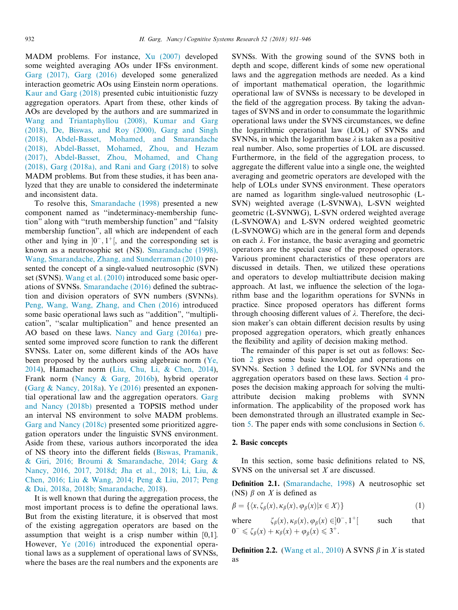MADM problems. For instance, [Xu \(2007\)](#page-15-0) developed some weighted averaging AOs under IFSs environment. [Garg \(2017\), Garg \(2016\)](#page-14-0) developed some generalized interaction geometric AOs using Einstein norm operations. [Kaur and Garg \(2018\)](#page-15-0) presented cubic intuitionistic fuzzy aggregation operators. Apart from these, other kinds of AOs are developed by the authors and are summarized in [Wang and Triantaphyllou \(2008\), Kumar and Garg](#page-15-0) [\(2018\), De, Biswas, and Roy \(2000\), Garg and Singh](#page-15-0) [\(2018\), Abdel-Basset, Mohamed, and Smarandache](#page-15-0) [\(2018\), Abdel-Basset, Mohamed, Zhou, and Hezam](#page-15-0) [\(2017\), Abdel-Basset, Zhou, Mohamed, and Chang](#page-15-0) [\(2018\), Garg \(2018a\), and Rani and Garg \(2018\)](#page-15-0) to solve MADM problems. But from these studies, it has been analyzed that they are unable to considered the indeterminate and inconsistent data.

To resolve this, [Smarandache \(1998\)](#page-15-0) presented a new component named as ''indeterminacy-membership function" along with ''truth membership function" and ''falsity membership function", all which are independent of each other and lying in  $[0^-, 1^+]$ , and the corresponding set is known as a neutrosophic set (NS). [Smarandache \(1998\),](#page-15-0) [Wang, Smarandache, Zhang, and Sunderraman \(2010\)](#page-15-0) presented the concept of a single-valued neutrosophic (SVN) set (SVNS). [Wang et al. \(2010\)](#page-15-0) introduced some basic operations of SVNSs. [Smarandache \(2016\)](#page-15-0) defined the subtraction and division operators of SVN numbers (SVNNs). [Peng, Wang, Wang, Zhang, and Chen \(2016\)](#page-15-0) introduced some basic operational laws such as ''addition", ''multiplication", ''scalar multiplication" and hence presented an AO based on these laws. [Nancy and Garg \(2016a\)](#page-15-0) presented some improved score function to rank the different SVNSs. Later on, some different kinds of the AOs have been proposed by the authors using algebraic norm ([Ye,](#page-15-0) [2014\)](#page-15-0), Hamacher norm [\(Liu, Chu, Li, & Chen, 2014\)](#page-15-0), Frank norm [\(Nancy & Garg, 2016b\)](#page-15-0), hybrid operator [\(Garg & Nancy, 2018a\)](#page-14-0). [Ye \(2016\)](#page-15-0) presented an exponential operational law and the aggregation operators. [Garg](#page-14-0) [and Nancy \(2018b\)](#page-14-0) presented a TOPSIS method under an interval NS environment to solve MADM problems. [Garg and Nancy \(2018c\)](#page-15-0) presented some prioritized aggregation operators under the linguistic SVNS environment. Aside from these, various authors incorporated the idea of NS theory into the different fields [\(Biswas, Pramanik,](#page-14-0) [& Giri, 2016; Broumi & Smarandache, 2014; Garg &](#page-14-0) [Nancy, 2016, 2017, 2018d; Jha et al., 2018; Li, Liu, &](#page-14-0) [Chen, 2016; Liu & Wang, 2014; Peng & Liu, 2017; Peng](#page-14-0) [& Dai, 2018a, 2018b; Smarandache, 2018\)](#page-14-0).

It is well known that during the aggregation process, the most important process is to define the operational laws. But from the existing literature, it is observed that most of the existing aggregation operators are based on the assumption that weight is a crisp number within [0,1]. However, [Ye \(2016\)](#page-15-0) introduced the exponential operational laws as a supplement of operational laws of SVNSs, where the bases are the real numbers and the exponents are

SVNSs. With the growing sound of the SVNS both in depth and scope, different kinds of some new operational laws and the aggregation methods are needed. As a kind of important mathematical operation, the logarithmic operational law of SVNSs is necessary to be developed in the field of the aggregation process. By taking the advantages of SVNS and in order to consummate the logarithmic operational laws under the SVNS circumstances, we define the logarithmic operational law (LOL) of SVNSs and SVNNs, in which the logarithm base  $\lambda$  is taken as a positive real number. Also, some properties of LOL are discussed. Furthermore, in the field of the aggregation process, to aggregate the different value into a single one, the weighted averaging and geometric operators are developed with the help of LOLs under SVNS environment. These operators are named as logarithm single-valued neutrosophic (L-SVN) weighted average (L-SVNWA), L-SVN weighted geometric (L-SVNWG), L-SVN ordered weighted average (L-SVNOWA) and L-SVN ordered weighted geometric (L-SVNOWG) which are in the general form and depends on each  $\lambda$ . For instance, the basic averaging and geometric operators are the special case of the proposed operators. Various prominent characteristics of these operators are discussed in details. Then, we utilized these operations and operators to develop multiattribute decision making approach. At last, we influence the selection of the logarithm base and the logarithm operations for SVNNs in practice. Since proposed operators has different forms through choosing different values of  $\lambda$ . Therefore, the decision maker's can obtain different decision results by using proposed aggregation operators, which greatly enhances the flexibility and agility of decision making method.

The remainder of this paper is set out as follows: Section 2 gives some basic knowledge and operations on SVNNs. Section [3](#page-2-0) defined the LOL for SVNNs and the aggregation operators based on these laws. Section [4](#page-8-0) proposes the decision making approach for solving the multiattribute decision making problems with SVNN information. The applicability of the proposed work has been demonstrated through an illustrated example in Section [5.](#page-9-0) The paper ends with some conclusions in Section [6](#page-14-0).

### 2. Basic concepts

In this section, some basic definitions related to NS, SVNS on the universal set X are discussed.

Definition 2.1. [\(Smarandache, 1998](#page-15-0)) A neutrosophic set (NS)  $\beta$  on X is defined as

$$
\beta = \{ \langle x, \zeta_{\beta}(x), \kappa_{\beta}(x), \varphi_{\beta}(x) | x \in X \rangle \}
$$
\n(1)

where  $\zeta_{\beta}(x), \kappa_{\beta}(x), \varphi_{\beta}(x) \in ]0^{-}, 1^{+}[$  such that  $0^{-} \leqslant \zeta_{\beta}(x) + \kappa_{\beta}(x) + \varphi_{\beta}(x) \leqslant 3^{+}.$ 

**Definition 2.2.** [\(Wang et al., 2010\)](#page-15-0) A SVNS  $\beta$  in X is stated as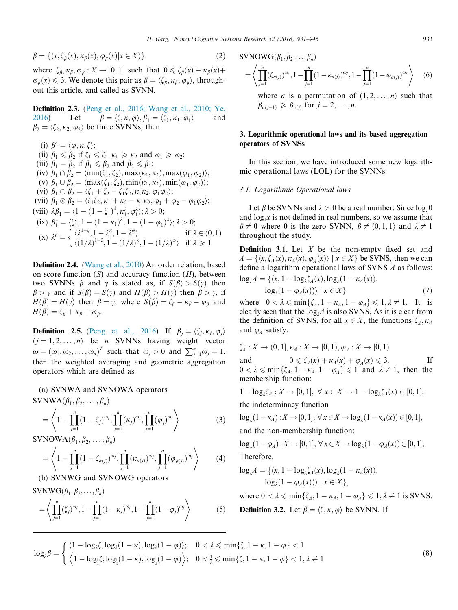<span id="page-2-0"></span> $\beta = {\langle x, \zeta_{\beta}(x), \kappa_{\beta}(x), \varphi_{\beta}(x)| x \in X \rangle}$ (2)

where  $\zeta_{\beta}, \kappa_{\beta}, \varphi_{\beta} : X \to [0, 1]$  such that  $0 \leq \zeta_{\beta}(x) + \kappa_{\beta}(x) + \zeta_{\beta}(x)$  $\varphi_{\beta}(x) \leq 3$ . We denote this pair as  $\beta = \langle \zeta_{\beta}, \kappa_{\beta}, \varphi_{\beta} \rangle$ , throughout this article, and called as SVNN.

Definition 2.3. ([Peng et al., 2016; Wang et al., 2010; Ye,](#page-15-0) [2016](#page-15-0)) Let  $\beta = \langle \zeta, \kappa, \varphi \rangle, \beta_1 = \langle \zeta_1, \kappa_1, \varphi_1 \rangle$  and  $\beta_2 = \langle \zeta_2, \kappa_2, \varphi_2 \rangle$  be three SVNNs, then

(i) 
$$
\beta^c = \langle \varphi, \kappa, \zeta \rangle
$$
;  
\n(ii)  $\beta_1 \le \beta_2$  if  $\zeta_1 \le \zeta_2, \kappa_1 \ge \kappa_2$  and  $\varphi_1 \ge \varphi_2$ ;  
\n(iii)  $\beta_1 = \beta_2$  if  $\beta_1 \le \beta_2$  and  $\beta_2 \le \beta_1$ ;  
\n(iv)  $\beta_1 \cap \beta_2 = \langle \min(\zeta_1, \zeta_2), \max(\kappa_1, \kappa_2), \max(\varphi_1, \varphi_2) \rangle$ ;  
\n(v)  $\beta_1 \cup \beta_2 = \langle \max(\zeta_1, \zeta_2), \min(\kappa_1, \kappa_2), \min(\varphi_1, \varphi_2) \rangle$ ;  
\n(vi)  $\beta_1 \oplus \beta_2 = \langle \zeta_1 + \zeta_2 - \zeta_1 \zeta_2, \kappa_1 \kappa_2, \varphi_1 \varphi_2 \rangle$ ;  
\n(vii)  $\beta_1 \otimes \beta_2 = \langle \zeta_1 \zeta_2, \kappa_1 + \kappa_2 - \kappa_1 \kappa_2, \varphi_1 + \varphi_2 - \varphi_1 \varphi_2 \rangle$ ;  
\n(viii)  $\lambda \beta_1 = \langle 1 - (1 - \zeta_1)^{\lambda}, \kappa_1^{\lambda}, \varphi_1^{\lambda} \rangle$ ;  $\lambda > 0$ ;  
\n(ix)  $\beta_1^{\lambda} = \langle \zeta_1^{\lambda}, 1 - (1 - \kappa_1)^{\lambda}, 1 - (1 - \varphi_1)^{\lambda} \rangle$ ;  $\lambda > 0$ ;  
\n(x)  $\lambda^{\beta} = \begin{cases} \langle \lambda^{1-\zeta}, 1 - \lambda^{\kappa}, 1 - \lambda^{\varphi} \rangle \\ \langle (1/\lambda)^{1-\zeta}, 1 - (1/\lambda)^{\kappa}, 1 - (1/\lambda)^{\varphi} \rangle \end{cases}$  if  $\lambda \ge 1$ 

Definition 2.4. [\(Wang et al., 2010\)](#page-15-0) An order relation, based on score function  $(S)$  and accuracy function  $(H)$ , between two SVNNs  $\beta$  and  $\gamma$  is stated as, if  $S(\beta) > S(\gamma)$  then  $\beta > \gamma$  and if  $S(\beta) = S(\gamma)$  and  $H(\beta) > H(\gamma)$  then  $\beta > \gamma$ , if  $H(\beta) = H(\gamma)$  then  $\beta = \gamma$ , where  $S(\beta) = \zeta_{\beta} - \kappa_{\beta} - \varphi_{\beta}$  and  $H(\beta) = \zeta_{\beta} + \kappa_{\beta} + \varphi_{\beta}.$ 

**Definition 2.5.** ([Peng et al., 2016\)](#page-15-0) If  $\beta_j = \langle \zeta_j, \kappa_j, \varphi_j \rangle$  $(j = 1, 2, \dots, n)$  be n SVNNs having weight vector  $\omega = (\omega_1, \omega_2, ..., \omega_n)^T$  such that  $\omega_j > 0$  and  $\sum_{j=1}^n \omega_j = 1$ , then the weighted averaging and geometric aggregation operators which are defined as

(a) SVNWA and SVNOWA operators  $SVMWA(\beta_1, \beta_2, \ldots, \beta_n)$ Yn  $\omega_j$ Yn  $\omega_j$ 

$$
= \left\langle 1 - \prod_{j=1}^{n} (1 - \zeta_j)^{\omega_j}, \prod_{j=1}^{n} (\kappa_j)^{\omega_j}, \prod_{j=1}^{n} (\varphi_j)^{\omega_j} \right\rangle
$$
(3)

SVNOWA $(\beta_1, \beta_2,$ .

$$
= \left\langle 1 - \prod_{j=1}^{n} (1 - \zeta_{\sigma(j)})^{\omega_j}, \prod_{j=1}^{n} (\kappa_{\sigma(j)})^{\omega_j}, \prod_{j=1}^{n} (\varphi_{\sigma(j)})^{\omega_j} \right\rangle \tag{4}
$$

(b) SVNWG and SVNOWG operators

 $SVMWG(\beta_1, \beta_2, \ldots, \beta_n)$ 

$$
= \left\langle \prod_{j=1}^{n} (\zeta_j)^{\omega_j}, 1 - \prod_{j=1}^{n} (1 - \kappa_j)^{\omega_j}, 1 - \prod_{j=1}^{n} (1 - \varphi_j)^{\omega_j} \right\rangle \tag{5}
$$

$$
\text{SVNOWG}(\beta_1, \beta_2, \dots, \beta_n) = \left\langle \prod_{j=1}^n (\zeta_{\sigma(j)})^{\omega_j}, 1 - \prod_{j=1}^n (1 - \kappa_{\sigma(j)})^{\omega_j}, 1 - \prod_{j=1}^n (1 - \varphi_{\sigma(j)})^{\omega_j} \right\rangle \tag{6}
$$

where  $\sigma$  is a permutation of  $(1, 2, \ldots, n)$  such that  $\beta_{\sigma(i-1)} \geq \beta_{\sigma(i)}$  for  $j = 2, \ldots, n$ .

# 3. Logarithmic operational laws and its based aggregation operators of SVNSs

In this section, we have introduced some new logarithmic operational laws (LOL) for the SVNNs.

## 3.1. Logarithmic Operational laws

Let  $\beta$  be SVNNs and  $\lambda > 0$  be a real number. Since log<sub>1</sub>0 and  $log<sub>1</sub>x$  is not defined in real numbers, so we assume that  $\beta \neq 0$  where 0 is the zero SVNN,  $\beta \neq \langle 0, 1, 1 \rangle$  and  $\lambda \neq 1$ throughout the study.

**Definition 3.1.** Let  $X$  be the non-empty fixed set and  $A = \{ \langle x, \zeta_A(x), \kappa_A(x), \varphi_A(x) \rangle \mid x \in X \}$  be SVNS, then we can define a logarithm operational laws of SVNS A as follows:

$$
\log_{\lambda} A = \{ \langle x, 1 - \log_{\lambda} \zeta_A(x), \log_{\lambda} (1 - \kappa_A(x)),
$$
  

$$
\log_{\lambda} (1 - \varphi_A(x)) \mid x \in X \}
$$
 (7)

where  $0 < \lambda \le \min\{\zeta_A, 1 - \kappa_A, 1 - \varphi_A\} \le 1, \lambda \ne 1$ . It is<br>clearly seen that the log 4 is also SVNS. As it is clear from clearly seen that the  $log_{2}A$  is also SVNS. As it is clear from the definition of SVNS, for all  $x \in X$ , the functions  $\zeta_A$ ,  $\kappa_A$ and  $\varphi_A$  satisfy:

$$
\zeta_A: X \to (0,1], \kappa_A: X \to [0,1), \varphi_A: X \to [0,1)
$$
  
and  $0 \le \zeta_A(x) + \kappa_A(x) + \varphi_A(x) \le 3$ . If  
 $0 < \lambda \le \min{\{\zeta_A, 1 - \kappa_A, 1 - \varphi_A\}} \le 1$  and  $\lambda \ne 1$ , then the  
membership function:

$$
1 - \log_{\lambda} \zeta_A : X \to [0, 1], \ \forall \ x \in X \to 1 - \log_{\lambda} \zeta_A(x) \in [0, 1],
$$

the indeterminacy function

$$
\log_{\lambda}(1-\kappa_A):X\to[0,1],\,\forall\,x\in X\to\log_{\lambda}(1-\kappa_A(x))\in[0,1],
$$

and the non-membership function:

$$
\log_{\lambda}(1-\varphi_A):X \to [0,1], \forall x \in X \to \log_{\lambda}(1-\varphi_A(x)) \in [0,1],
$$
  
Therefore,

$$
\log_{\lambda} A = \{ \langle x, 1 - \log_{\lambda} \zeta_A(x), \log_{\lambda} (1 - \kappa_A(x)),
$$
  

$$
\log_{\lambda} (1 - \varphi_A(x)) \rangle \mid x \in X \},\
$$

where  $0 < \lambda \leqslant \min\{\zeta_A, 1 - \kappa_A, 1 - \varphi_A\} \leqslant 1, \lambda \neq 1$  is SVNS. **Definition 3.2.** Let  $\beta = \langle \zeta, \kappa, \varphi \rangle$  be SVNN. If

$$
\log_{\lambda}\beta = \begin{cases} \langle 1 - \log_{\lambda}\zeta, \log_{\lambda}(1 - \kappa), \log_{\lambda}(1 - \varphi) \rangle; & 0 < \lambda \leq \min\{\zeta, 1 - \kappa, 1 - \varphi\} < 1\\ \langle 1 - \log_{\frac{1}{\lambda}}\zeta, \log_{\frac{1}{\lambda}}(1 - \kappa), \log_{\frac{1}{\lambda}}(1 - \varphi) \rangle; & 0 < \frac{1}{\lambda} \leq \min\{\zeta, 1 - \kappa, 1 - \varphi\} < 1, \lambda \neq 1 \end{cases}
$$
(8)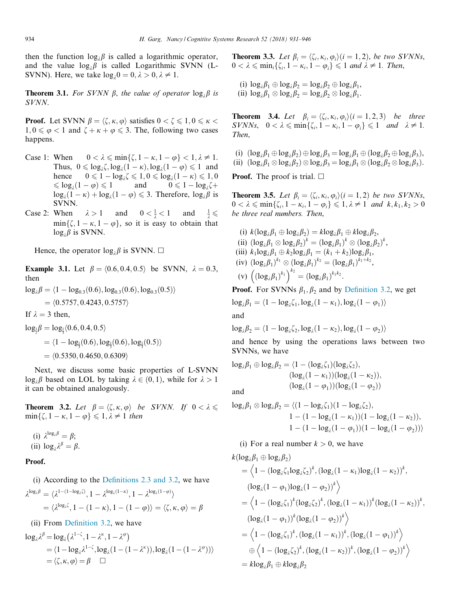then the function  $log_{2}\beta$  is called a logarithmic operator, and the value  $log_2\beta$  is called Logarithmic SVNN (L-SVNN). Here, we take  $log_2 0 = 0, \lambda > 0, \lambda \neq 1$ .

**Theorem 3.1.** For SVNN  $\beta$ , the value of operator  $\log_2 \beta$  is SVNN.

**Proof.** Let SVNN  $\beta = \langle \zeta, \kappa, \varphi \rangle$  satisfies  $0 < \zeta \leq 1, 0 \leq \kappa <$  $1, 0 \le \varphi < 1$  and  $\zeta + \kappa + \varphi \le 3$ . The, following two cases happens.

- Case 1: When  $0 < \lambda \le \min{\{\zeta, 1 \kappa, 1 \varphi\}} < 1, \lambda \ne 1$ .<br>Thus  $0 < \log \zeta \log (1 \kappa) \log (1 \varphi) < 1$  and Thus,  $0 \leq \log_{\lambda} \zeta$ ,  $\log_{\lambda}(1 - \kappa)$ ,  $\log_{\lambda}(1 - \varphi) \leq 1$  and<br>hence  $0 \leq 1 - \log \zeta \leq 1$ ,  $0 \leq \log_{\lambda}(1 - \kappa) \leq 1$ , 0 hence  $0 \leq 1 - \log_{\lambda} \zeta \leq 1, 0 \leq \log_{\lambda}(1 - \kappa) \leq 1, 0$ <br> $\leq \log_{\lambda}(1 - \varphi) \leq 1$  and  $0 \leq 1 - \log_{\lambda} \zeta +$  $\leq \log_{\lambda}(1-\varphi) \leq 1$  and  $0 \leq 1 - \log_{\lambda}\zeta + \log_{\lambda}(1-\varphi) \leq 3$  Therefore  $\log_{\lambda} \zeta$  $\log_{\lambda}(1 - \kappa) + \log_{\lambda}(1 - \varphi) \leq 3$ . Therefore,  $\log_{\lambda}\beta$  is SVNN SVNN.
- Case 2: When  $\lambda > 1$  and  $0 < \frac{1}{\lambda} < 1$  and  $\frac{1}{\lambda}$  $\frac{1}{2}$  $\min\{\zeta, 1 - \kappa, 1 - \varphi\}$ , so it is easy to obtain that  $log_{1}\beta$  is SVNN.

Hence, the operator  $\log_{\lambda} \beta$  is SVNN.  $\Box$ 

**Example 3.1.** Let  $\beta = \langle 0.6, 0.4, 0.5 \rangle$  be SVNN,  $\lambda = 0.3$ , then

$$
log_{2}\beta = \langle 1 - log_{0.3}(0.6), log_{0.3}(0.6), log_{0.3}(0.5) \rangle
$$
  
=  $\langle 0.5757, 0.4243, 0.5757 \rangle$ 

If  $\lambda = 3$  then,

$$
log_{\frac{1}{2}}\beta = log_{\frac{1}{3}}\langle 0.6, 0.4, 0.5 \rangle
$$
  
=  $\langle 1 - log_{\frac{1}{3}}(0.6), log_{\frac{1}{3}}(0.6), log_{\frac{1}{3}}(0.5) \rangle$   
=  $\langle 0.5350, 0.4650, 0.6309 \rangle$ 

Next, we discuss some basic properties of L-SVNN  $\log_{\lambda} \beta$  based on LOL by taking  $\lambda \in (0, 1)$ , while for  $\lambda > 1$ it can be obtained analogously.

**Theorem 3.2.** Let  $\beta = \langle \zeta, \kappa, \varphi \rangle$  be SVNN. If  $0 < \lambda \leq$  $\min\{\zeta, 1 - \kappa, 1 - \varphi\} \leq 1, \lambda \neq 1$  then

- (i)  $\lambda^{\log_{\lambda} \beta} = \beta$ ; (ii)  $\log_2 \lambda^\beta = \beta$ .
- 

Proof.

(i) According to the [Definitions 2.3 and 3.2,](#page-2-0) we have  $\lambda^{\log_\lambda\beta}=\langle\lambda^{1-(1-\log_\lambda\zeta)}, 1-\lambda^{\log_\lambda(1-\kappa)}, 1-\lambda^{\log_\lambda(1-\varphi)}\rangle$ i  $= \langle \lambda^{\log_\lambda \zeta}, 1 - (1 - \kappa), 1 - (1 - \varphi) \rangle = \langle \zeta, \kappa, \varphi \rangle = \beta$ 

(ii) From [Definition 3.2,](#page-2-0) we have

$$
\log_{\lambda} \lambda^{\beta} = \log_{\lambda} (\lambda^{1-\zeta}, 1 - \lambda^{\kappa}, 1 - \lambda^{\varphi})
$$
  
=  $\langle 1 - \log_{\lambda} \lambda^{1-\zeta}, \log_{\lambda} (1 - (1 - \lambda^{\kappa})), \log_{\lambda} (1 - (1 - \lambda^{\varphi})) \rangle$   
=  $\langle \zeta, \kappa, \varphi \rangle = \beta \quad \Box$ 

**Theorem 3.3.** Let  $\beta_i = \langle \zeta_i, \kappa_i, \varphi_i \rangle (i = 1, 2)$ , be two SVNNs,  $0 < \lambda \leqslant \min_i {\{\zeta_i, 1 - \kappa_i, 1 - \varphi_i\}} \leqslant 1$  and  $\lambda \neq 1$ . Then,

(i)  $\log_{2}\beta_1 \oplus \log_{2}\beta_2 = \log_{2}\beta_2 \oplus \log_{2}\beta_1$ , (ii)  $\log_{2}\beta_1 \otimes \log_{2}\beta_2 = \log_{2}\beta_2 \otimes \log_{2}\beta_1$ .

**Theorem 3.4.** Let  $\beta_i = \langle \zeta_i, \kappa_i, \varphi_i \rangle (i = 1, 2, 3)$  be three SVNNs,  $0 < \lambda \leqslant \min\{\zeta_i, 1 - \kappa_i, 1 - \varphi_i\} \leqslant 1$  and  $\lambda \neq 1$ . Then,

- (i)  $(\log_{2}\beta_{1} \oplus \log_{2}\beta_{2}) \oplus \log_{2}\beta_{3} = \log_{2}\beta_{1} \oplus (\log_{2}\beta_{2} \oplus \log_{2}\beta_{3}),$
- (ii)  $(\log_{2}\beta_{1} \otimes \log_{2}\beta_{2}) \otimes \log_{2}\beta_{3} = \log_{2}\beta_{1} \otimes (\log_{2}\beta_{2} \otimes \log_{2}\beta_{3}).$

**Proof.** The proof is trial.  $\Box$ 

**Theorem 3.5.** Let  $\beta_i = \langle \zeta_i, \kappa_i, \varphi_i \rangle (i = 1, 2)$  be two SVNNs,  $0 < \lambda \leqslant \min\{\zeta_i, 1 - \kappa_i, 1 - \varphi_i\} \leqslant 1, \lambda \neq 1$  and  $k, k_1, k_2 > 0$ be three real numbers. Then,

(i)  $k(\log_{2}\beta_{1} \oplus \log_{2}\beta_{2}) = k\log_{2}\beta_{1} \oplus k\log_{2}\beta_{2},$ (ii)  $(\log_{\lambda} \beta_1 \otimes \log_{\lambda} \beta_2)^{k} = (\log_{\lambda} \beta_1)^{k} \otimes (\log_{\lambda} \beta_2)^{k}$ <br>
(iii)  $k \cdot \log_{\lambda} \beta_1 \otimes k \cdot \log_{\lambda} \beta_2 = (k + k \cdot \log_{\lambda} \beta_2)^{k}$ (iii)  $k_1 \log_{\lambda} \beta_1 \oplus k_2 \log_{\lambda} \beta_1 = (k_1 + k_2) \log_{\lambda} \beta_1,$ (iv)  $(\log_{\lambda} \beta_1)^{k_1} \otimes (\log_{\lambda} \beta_1)^{k_2} = (\log_{\lambda} \beta_1)^{k_1+k_2},$ (v)  $\left( (\log_{\lambda} \beta_1)^{k_1} \right)^{k_2} = (\log_{\lambda} \beta_1)^{k_1 k_2}.$ 

**Proof.** For SVNNs  $\beta_1$ ,  $\beta_2$  and by [Definition 3.2,](#page-2-0) we get

 $\log_{\lambda} \beta_1 = \langle 1 - \log_{\lambda} \zeta_1, \log_{\lambda} (1 - \kappa_1), \log_{\lambda} (1 - \varphi_1) \rangle$ 

and

 $\log_{2}\beta_{2} = \langle 1 - \log_{2}\zeta_{2}, \log_{2}(1 - \kappa_{2}), \log_{2}(1 - \varphi_{2}) \rangle$ 

and hence by using the operations laws between two SVNNs, we have

$$
\log_{\lambda} \beta_1 \oplus \log_{\lambda} \beta_2 = \langle 1 - (\log_{\lambda} \zeta_1)(\log_{\lambda} \zeta_2), (\log_{\lambda} (1 - \kappa_1))(\log_{\lambda} (1 - \kappa_2)), (\log_{\lambda} (1 - \varphi_1))(\log_{\lambda} (1 - \varphi_2))
$$

$$
\log_{\lambda} \beta_1 \otimes \log_{\lambda} \beta_2 = \langle (1 - \log_{\lambda} \zeta_1)(1 - \log_{\lambda} \zeta_2),1 - (1 - \log_{\lambda}(1 - \kappa_1))(1 - \log_{\lambda}(1 - \kappa_2)),1 - (1 - \log_{\lambda}(1 - \varphi_1))(1 - \log_{\lambda}(1 - \varphi_2)) \rangle
$$

(i) For a real number  $k > 0$ , we have

$$
k(\log_{\lambda}\beta_{1} \oplus \log_{\lambda}\beta_{2})
$$
  
=  $\langle 1 - (\log_{\lambda}\zeta_{1}\log_{\lambda}\zeta_{2})^{k}, (\log_{\lambda}(1 - \kappa_{1})\log_{\lambda}(1 - \kappa_{2}))^{k},$   

$$
(\log_{\lambda}(1 - \varphi_{1})\log_{\lambda}(1 - \varphi_{2}))^{k} \rangle
$$
  
=  $\langle 1 - (\log_{\lambda}\zeta_{1})^{k}(\log_{\lambda}\zeta_{2})^{k}, (\log_{\lambda}(1 - \kappa_{1}))^{k}(\log_{\lambda}(1 - \kappa_{2}))^{k},$   

$$
(\log_{\lambda}(1 - \varphi_{1}))^{k}(\log_{\lambda}(1 - \varphi_{2}))^{k} \rangle
$$
  
=  $\langle 1 - (\log_{\lambda}\zeta_{1})^{k}, (\log_{\lambda}(1 - \kappa_{1}))^{k}, (\log_{\lambda}(1 - \varphi_{1}))^{k} \rangle$   

$$
\oplus \langle 1 - (\log_{\lambda}\zeta_{2})^{k}, (\log_{\lambda}(1 - \kappa_{2}))^{k}, (\log_{\lambda}(1 - \varphi_{2}))^{k} \rangle
$$
  
=  $k \log_{\lambda}\beta_{1} \oplus k \log_{\lambda}\beta_{2}$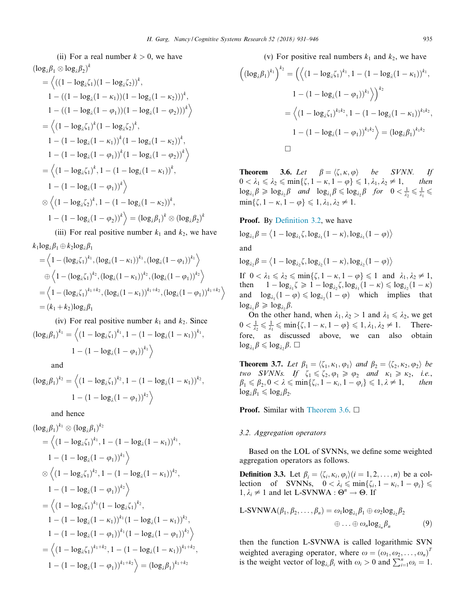<span id="page-4-0"></span>(ii) For a real number  $k > 0$ , we have  $\left(\log_{\lambda}\beta_{1}\otimes\log_{\lambda}\beta_{2}\right)^{k}$ 

$$
= \left\langle ((1 - \log_{\lambda} \zeta_{1})(1 - \log_{\lambda} \zeta_{2}))^{k},
$$
  
\n
$$
1 - ((1 - \log_{\lambda}(1 - \kappa_{1}))(1 - \log_{\lambda}(1 - \kappa_{2})))^{k},
$$
  
\n
$$
1 - ((1 - \log_{\lambda}(1 - \varphi_{1}))(1 - \log_{\lambda}(1 - \varphi_{2})))^{k}\right\rangle
$$
  
\n
$$
= \left\langle (1 - \log_{\lambda} \zeta_{1})^{k}(1 - \log_{\lambda} \zeta_{2})^{k},
$$
  
\n
$$
1 - (1 - \log_{\lambda}(1 - \kappa_{1}))^{k}(1 - \log_{\lambda}(1 - \kappa_{2}))^{k},
$$
  
\n
$$
1 - (1 - \log_{\lambda}(1 - \varphi_{1}))^{k}(1 - \log_{\lambda}(1 - \varphi_{2}))^{k}\right\rangle
$$
  
\n
$$
= \left\langle (1 - \log_{\lambda} \zeta_{1})^{k}, 1 - (1 - \log_{\lambda}(1 - \kappa_{1}))^{k},
$$
  
\n
$$
1 - (1 - \log_{\lambda}(1 - \varphi_{1}))^{k}\right\rangle
$$
  
\n
$$
\otimes \left\langle (1 - \log_{\lambda} \zeta_{2})^{k}, 1 - (1 - \log_{\lambda}(1 - \kappa_{2}))^{k},
$$
  
\n
$$
1 - (1 - \log_{\lambda}(1 - \varphi_{2}))^{k}\right\rangle = (\log_{\lambda}\beta_{1})^{k} \otimes (\log_{\lambda}\beta_{2})^{k}
$$
  
\n(iii) For real positive number k, and k, we

(iii) For real positive number  $k_1$  and  $k_2$ , we have  $k_1$ log<sub>2</sub> $\beta_1 \oplus k_2$ log<sub>2</sub> $\beta_1$ 

$$
= \left\langle 1 - (\log_{\lambda} \zeta_{1})^{k_{1}}, (\log_{\lambda} (1 - \kappa_{1}))^{k_{1}}, (\log_{\lambda} (1 - \varphi_{1}))^{k_{1}} \right\rangle
$$
  
\n
$$
\oplus \left\langle 1 - (\log_{\lambda} \zeta_{1})^{k_{2}}, (\log_{\lambda} (1 - \kappa_{1}))^{k_{2}}, (\log_{\lambda} (1 - \varphi_{1}))^{k_{2}} \right\rangle
$$
  
\n
$$
= \left\langle 1 - (\log_{\lambda} \zeta_{1})^{k_{1} + k_{2}}, (\log_{\lambda} (1 - \kappa_{1}))^{k_{1} + k_{2}}, (\log_{\lambda} (1 - \varphi_{1}))^{k_{1} + k_{2}} \right\rangle
$$
  
\n
$$
= (k_{1} + k_{2}) \log_{\lambda} \beta_{1}
$$

(iv) For real positive number  $k_1$  and  $k_2$ . Since  $\left(\log_{\lambda} \beta_1\right)^{k_1} = \left\langle \left(1 - \log_{\lambda} \zeta_1\right)^{k_1}, 1 - \left(1 - \log_{\lambda} (1 - \kappa_1)\right)^{k_1}, \right\rangle$  $1 - (1 - \log_{\lambda}(1 - \varphi_1))^{k_1}$ 

and

$$
(\log_{\lambda} \beta_1)^{k_2} = \left\langle (1 - \log_{\lambda} \zeta_1)^{k_2}, 1 - (1 - \log_{\lambda} (1 - \kappa_1))^{k_2}, 1 - (1 - \log_{\lambda} (1 - \varphi_1))^{k_2} \right\rangle
$$

and hence

$$
(\log_{\lambda}\beta_{1})^{k_{1}} \otimes (\log_{\lambda}\beta_{1})^{k_{2}}
$$
  
=  $\left\langle (1 - \log_{\lambda}\zeta_{1})^{k_{1}}, 1 - (1 - \log_{\lambda}(1 - \kappa_{1}))^{k_{1}}, 1 - (1 - \log_{\lambda}(1 - \varphi_{1}))^{k_{1}} \right\rangle$   
 $\otimes \left\langle (1 - \log_{\lambda}\zeta_{1})^{k_{2}}, 1 - (1 - \log_{\lambda}(1 - \kappa_{1}))^{k_{2}}, 1 - (1 - \log_{\lambda}(1 - \varphi_{1}))^{k_{2}} \right\rangle$   
=  $\left\langle (1 - \log_{\lambda}\zeta_{1})^{k_{1}}(1 - \log_{\lambda}\zeta_{1})^{k_{2}}, 1 - (1 - \log_{\lambda}(1 - \kappa_{1}))^{k_{1}}(1 - \log_{\lambda}(1 - \kappa_{1}))^{k_{2}}, 1 - (1 - \log_{\lambda}(1 - \varphi_{1}))^{k_{1}}(1 - \log_{\lambda}(1 - \varphi_{1}))^{k_{2}} \right\rangle$   
=  $\left\langle (1 - \log_{\lambda}\zeta_{1})^{k_{1} + k_{2}}, 1 - (1 - \log_{\lambda}(1 - \kappa_{1}))^{k_{1} + k_{2}}, 1 - (1 - \log_{\lambda}(1 - \kappa_{1}))^{k_{1} + k_{2}}, 1 - (1 - \log_{\lambda}(1 - \varphi_{1}))^{k_{1} + k_{2}} \right\rangle = (\log_{\lambda}\beta_{1})^{k_{1} + k_{2}}$ 

(v) For positive real numbers  $k_1$  and  $k_2$ , we have

$$
\left( (\log_{\lambda} \beta_{1})^{k_{1}} \right)^{k_{2}} = \left( \left\langle (1 - \log_{\lambda} \zeta_{1})^{k_{1}}, 1 - (1 - \log_{\lambda} (1 - \kappa_{1}))^{k_{1}}, 1 - (1 - \log_{\lambda} (1 - \varphi_{1}))^{k_{1}} \right\rangle \right)^{k_{2}}
$$

$$
= \left\langle (1 - \log_{\lambda} \zeta_{1})^{k_{1}k_{2}}, 1 - (1 - \log_{\lambda} (1 - \kappa_{1}))^{k_{1}k_{2}}, 1 - (1 - \log_{\lambda} (1 - \varphi_{1}))^{k_{1}k_{2}} \right\rangle = (\log_{\lambda} \beta_{1})^{k_{1}k_{2}}
$$

$$
\square
$$

**Theorem 3.6.** Let  $\beta = \langle \zeta, \kappa, \varphi \rangle$  be SVNN. If  $0 < \lambda < \lambda_0 < \min\{ \zeta, 1 - \kappa, 1 - \varphi\} < 1, \lambda_0 \neq 1$  then  $0 < \lambda_1 \leq \lambda_2 \leq \min\{\zeta, 1 - \kappa, 1 - \varphi\} \leq 1, \lambda_1, \lambda_2 \neq 1,$  then<br>log  $\beta > \log \beta$  and  $\log \beta \leq \log \beta$  for  $0 < 1 < 1 <$  $\log_{\lambda_1}\beta \geqslant \log_{\lambda_2}\beta$  and  $\log_{\lambda_1}\beta \leqslant \log_{\lambda_2}\beta$  for  $0 < \frac{1}{\lambda_2} \leqslant \frac{1}{\lambda_1} \leqslant$  $\min\{\zeta, 1 - \kappa, 1 - \varphi\} \leqslant 1, \lambda_1, \lambda_2 \neq 1.$ 

# Proof. By [Definition 3.2](#page-2-0), we have

 $\log_{\lambda_1} \beta = \langle 1 - \log_{\lambda_1} \zeta, \log_{\lambda_1} (1 - \kappa), \log_{\lambda_1} (1 - \varphi) \rangle$ 

and

$$
\log_{\lambda_2} \beta = \langle 1 - \log_{\lambda_2} \zeta, \log_{\lambda_2} (1 - \kappa), \log_{\lambda_2} (1 - \varphi) \rangle
$$

If  $0 < \lambda_1 \leq \lambda_2 \leq \min\{\zeta, 1 - \kappa, 1 - \varphi\} \leq 1$  and  $\lambda_1, \lambda_2 \neq 1$ , then  $1 - \log_{\lambda_1} \zeta \ge 1 - \log_{\lambda_2} \zeta$ ,  $\log_{\lambda_1} (1 - \kappa) \le \log_{\lambda_2} (1 - \kappa)$ and  $\log_{\lambda_1}(1-\varphi) \leq \log_{\lambda_2}(1-\varphi)$  which implies that  $\log_{\lambda_1}\beta \geqslant \log_{\lambda_2}\beta$ .

On the other hand, when  $\lambda_1, \lambda_2 > 1$  and  $\lambda_1 \le \lambda_2$ , we get  $0 < \frac{1}{\lambda_2} \leq \frac{1}{\lambda_1} \leq \min\{\zeta, 1 - \kappa, 1 - \varphi\} \leq 1, \lambda_1, \lambda_2 \neq 1.$  Therefore, as discussed above, we can also obtain  $\log_{\lambda_1} \beta \leqslant \log_{\lambda_2} \beta. \ \Box$ 

**Theorem 3.7.** Let  $\beta_1 = \langle \zeta_1, \kappa_1, \varphi_1 \rangle$  and  $\beta_2 = \langle \zeta_2, \kappa_2, \varphi_2 \rangle$  be two SVNNs. If  $\zeta_1 \leq \zeta_2, \varphi_1 \geq \varphi_2$  and  $\kappa_1 \geq \kappa_2$ , i.e.,  $\beta_1 \leq \beta_2, 0 < \lambda \leq \min\{\zeta_i, 1 - \kappa_i, 1 - \varphi_i\} \leq 1, \lambda \neq 1,$  then  $\log_{2}\beta_{1} \leqslant \log_{2}\beta_{2}$ .

**Proof.** Similar with Theorem 3.6.  $\Box$ 

# 3.2. Aggregation operators

Based on the LOL of SVNNs, we define some weighted aggregation operators as follows.

**Definition 3.3.** Let  $\beta_i = \langle \zeta_i, \kappa_i, \varphi_i \rangle (i = 1, 2, \dots, n)$  be a collection of SVNNs,  $0 < \lambda_i \leqslant \min\{\zeta_i, 1 - \kappa_i, 1 - \varphi_i\} \leqslant$  $1, \lambda_i \neq 1$  and let L-SVNWA :  $\Theta^n \rightarrow \Theta$ . If

$$
\text{L-SVNWA}(\beta_1, \beta_2, \dots, \beta_n) = \omega_1 \log_{\lambda_1} \beta_1 \oplus \omega_2 \log_{\lambda_2} \beta_2
$$
  

$$
\oplus \dots \oplus \omega_n \log_{\lambda_n} \beta_n
$$
 (9)

then the function L-SVNWA is called logarithmic SVN weighted averaging operator, where  $\omega = (\omega_1, \omega_2, \dots, \omega_n)^T$ <br>is the weight vector of  $\log R$  with  $\omega > 0$  and  $\sum^n \omega - 1$ is the weight vector of  $\log_{\lambda_i} \beta_i$  with  $\omega_i > 0$  and  $\sum_{i=1}^n \omega_i = 1$ .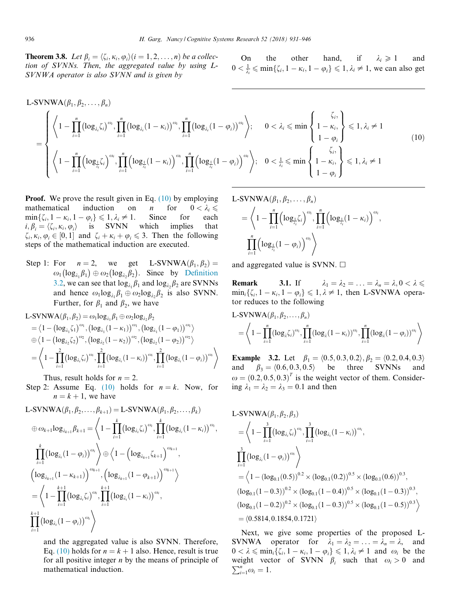<span id="page-5-0"></span>**Theorem 3.8.** Let  $\beta_i = \langle \zeta_i, \kappa_i, \varphi_i \rangle (i = 1, 2, \dots, n)$  be a collection of SVNNs. Then the aggregated value by using I. tion of SVNNs. Then, the aggregated value by using L-SVNWA operator is also SVNN and is given by

On the other hand, if  $\lambda_i \geq 1$  and  $0 < \frac{1}{\lambda_i} \leqslant \min\{\zeta_i, 1 - \kappa_i, 1 - \varphi_i\} \leqslant 1, \lambda_i \neq 1$ , we can also get

$$
L-SVNWA(\beta_1, \beta_2, \ldots, \beta_n)
$$
\n
$$
= \begin{cases}\n\left\langle 1 - \prod_{i=1}^n (\log_{\lambda_i} \zeta_i)^{\omega_i}, \prod_{i=1}^n (\log_{\lambda_i} (1 - \kappa_i))^{\omega_i}, \prod_{i=1}^n (\log_{\lambda_i} (1 - \varphi_i))^{\omega_i} \right\rangle; & 0 < \lambda_i \leq \min \left\{ 1 - \kappa_i, \atop 1 - \varphi_i \right\} \leq 1, \lambda_i \neq 1 \\
\left\langle 1 - \prod_{i=1}^n (\log_{\lambda_i} \zeta_i)^{\omega_i}, \prod_{i=1}^n (\log_{\lambda_i} (1 - \kappa_i))^{\omega_i}, \prod_{i=1}^n (\log_{\lambda_i} (1 - \varphi_i))^{\omega_i} \right\rangle; & 0 < \frac{1}{\lambda_i} \leq \min \left\{ 1 - \kappa_i, \atop 1 - \varphi_i \right\} \leq 1, \lambda_i \neq 1\n\end{cases}
$$
\n(10)

**Proof.** We prove the result given in Eq.  $(10)$  by employing mathematical induction on *n* for  $0 < \lambda_i$  $\min\{\zeta_i, 1 - \kappa_i, 1 - \varphi_i\} \leq 1, \lambda_i \neq 1.$  $g \leq 1, \lambda_i \neq 1$ . Since for each  $i, \beta_i = \langle \zeta_i, \kappa_i, \varphi_i \rangle$  is SVNN which implies that  $\zeta_i, \kappa_j, \varphi_i \in [0, 1]$  and  $\zeta_i + \kappa_j + \varphi_i \leq 3$ . Then the following  $\zeta_i, \kappa_i, \varphi_i \in [0, 1]$  and  $\zeta_i + \kappa_i + \varphi_i \leq 3$ . Then the following steps of the mathematical induction are executed.

Step 1: For  $n = 2$ , we get L-SVNWA $(\beta_1, \beta_2)$  =  $\omega_1 (\log_{\lambda_1} \beta_1) \oplus \omega_2 (\log_{\lambda_2} \beta_2)$ . Since by [Definition](#page-2-0) [3.2](#page-2-0), we can see that  $\log_{\lambda_1} \beta_1$  and  $\log_{\lambda_2} \beta_2$  are SVNNs and hence  $\omega_1 \log_{\lambda_1} \beta_1 \oplus \omega_2 \log_{\lambda_2} \beta_2$  is also SVNN. Further, for  $\beta_1$  and  $\beta_2$ , we have

L-SVNWA
$$
(\beta_1, \beta_2)
$$
 =  $\omega_1 \log_{\lambda_1} \beta_1 \oplus \omega_2 \log_{\lambda_2} \beta_2$   
\n=  $\langle 1 - (\log_{\lambda_1} \zeta_1)^{\omega_1}, (\log_{\lambda_1} (1 - \kappa_1))^{\omega_1}, (\log_{\lambda_1} (1 - \varphi_1))^{\omega_1} \rangle$   
\n $\oplus \langle 1 - (\log_{\lambda_2} \zeta_2)^{\omega_2}, (\log_{\lambda_2} (1 - \kappa_2))^{\omega_2}, (\log_{\lambda_2} (1 - \varphi_2))^{\omega_2} \rangle$   
\n=  $\langle 1 - \prod_{i=1}^2 (\log_{\lambda_i} \zeta_i)^{\omega_i}, \prod_{i=1}^2 (\log_{\lambda_i} (1 - \kappa_i))^{\omega_i}, \prod_{i=1}^2 (\log_{\lambda_i} (1 - \varphi_i))^{\omega_i} \rangle$ 

Thus, result holds for  $n = 2$ .

Step 2: Assume Eq. (10) holds for  $n = k$ . Now, for  $n = k + 1$ , we have

$$
\begin{split} & \text{L-SVNWA}(\beta_1, \beta_2, \dots, \beta_{k+1}) = \text{L-SVNWA}(\beta_1, \beta_2, \dots, \beta_k) \\ & \quad \oplus \omega_{k+1} \text{log}_{\lambda_{k+1}} \beta_{k+1} = \left\langle 1 - \prod_{i=1}^k (\text{log}_{\lambda_i} \zeta_i)^{\omega_i}, \prod_{i=1}^k (\text{log}_{\lambda_i} (1 - \kappa_i))^{\omega_i}, \right. \\ & \quad \left. \prod_{i=1}^k (\text{log}_{\lambda_i} (1 - \varphi_i))^{\omega_i} \right\rangle \oplus \left\langle 1 - \left( \text{log}_{\lambda_{k+1}} \zeta_{k+1} \right)^{\omega_{k+1}}, \right. \\ & \quad \left. \left( \text{log}_{\lambda_{k+1}} (1 - \kappa_{k+1}) \right)^{\omega_{k+1}}, \left( \text{log}_{\lambda_{k+1}} (1 - \varphi_{k+1}) \right)^{\omega_{k+1}} \right\rangle \\ & \quad = \left\langle 1 - \prod_{i=1}^{k+1} (\text{log}_{\lambda_i} \zeta_i)^{\omega_i}, \prod_{i=1}^{k+1} (\text{log}_{\lambda_i} (1 - \kappa_i))^{\omega_i}, \right. \\ & \quad \left. \prod_{i=1}^{k+1} (\text{log}_{\lambda_i} (1 - \varphi_i))^{\omega_i} \right\rangle \end{split}
$$

and the aggregated value is also SVNN. Therefore, Eq. (10) holds for  $n = k + 1$  also. Hence, result is true for all positive integer  $n$  by the means of principle of mathematical induction.

$$
\begin{aligned} \text{L-SVNWA}(\beta_1, \beta_2, \dots, \beta_n) \\ &= \left\langle 1 - \prod_{i=1}^n \left( \log_{\frac{1}{\lambda_i}} \zeta_i \right)^{\omega_i}, \prod_{i=1}^n \left( \log_{\frac{1}{\lambda_i}} (1 - \kappa_i) \right)^{\omega_i}, \right. \\ &\left. \prod_{i=1}^n \left( \log_{\frac{1}{\lambda_i}} (1 - \varphi_i) \right)^{\omega_i} \right\rangle \end{aligned}
$$

and aggregated value is SVNN.  $\Box$ 

**Remark** 3.1. If  $\lambda_1 = \lambda_2 = \ldots = \lambda_n = \lambda, 0 < \lambda \leq \min{\{\ell, 1, -\kappa, 1, -\omega\}} \leq 1$ , then LSVNWA opera- $\min_i \{\zeta_i, 1 - \kappa_i, 1 - \varphi_i\} \leq 1, \lambda \neq 1$ , then L-SVNWA operator reduces to the following

L-SVNWA
$$
(\beta_1, \beta_2, ..., \beta_n)
$$
  
=  $\left\langle 1 - \prod_{i=1}^n (\log_i \zeta_i)^{\omega_i}, \prod_{i=1}^n (\log_i (1 - \kappa_i))^{\omega_i}, \prod_{i=1}^n (\log_i (1 - \varphi_i))^{\omega_i} \right\rangle$ 

**Example 3.2.** Let  $\beta_1 = \langle 0.5, 0.3, 0.2 \rangle, \beta_2 = \langle 0.2, 0.4, 0.3 \rangle$ <br>and  $\beta_3 = \langle 0.6, 0.3, 0.5 \rangle$  be three SVNNs and  $\beta_3 = \langle 0.6, 0.3, 0.5 \rangle$  be three SVNNs  $\omega = (0.2, 0.5, 0.3)^T$  is the weight vector of them. Consider-<br>ing  $\lambda = \lambda = \lambda = 0.1$  and then ing  $\lambda_1 = \lambda_2 = \lambda_3 = 0.1$  and then

$$
\begin{split}\n&\text{L-SVNWA}(\beta_1, \beta_2, \beta_3) \\
&= \left\langle 1 - \prod_{i=1}^3 (\log_{\lambda_i} \zeta_i)^{\omega_i}, \prod_{i=1}^3 (\log_{\lambda_i} (1 - \kappa_i))^{\omega_i}, \right. \\
&\left. \prod_{i=1}^3 (\log_{\lambda_i} (1 - \varphi_i))^{\omega_i} \right\rangle \\
&= \left\langle 1 - (\log_{0.1} (0.5))^{0.2} \times (\log_{0.1} (0.2))^{0.5} \times (\log_{0.1} (0.6))^{0.3}, \right. \\
&\left. (\log_{0.1} (1 - 0.3))^{0.2} \times (\log_{0.1} (1 - 0.4))^{0.5} \times (\log_{0.1} (1 - 0.3))^{0.3}, \right. \\
&\left. (\log_{0.1} (1 - 0.2))^{0.2} \times (\log_{0.1} (1 - 0.3))^{0.5} \times (\log_{0.1} (1 - 0.5))^{0.3} \right\rangle \\
&= \langle 0.5814, 0.1854, 0.1721 \rangle\n\end{split}
$$

Next, we give some properties of the proposed L-SVNWA operator for  $\lambda_1 = \lambda_2 = ... = \lambda_n = \lambda$ , and  $0 < \lambda \leq \min_i {\{\zeta_i, 1 - \kappa_i, 1 - \varphi_i\}} \leq 1, \lambda_i \neq 1$  and  $\omega_i$  be the weight vector of SVNN  $\beta_i$  such that  $\omega_i > 0$  and  $\sum_{i=1}^{n} a_i = 1$  $\sum_{i=1}^n \omega_i = 1.$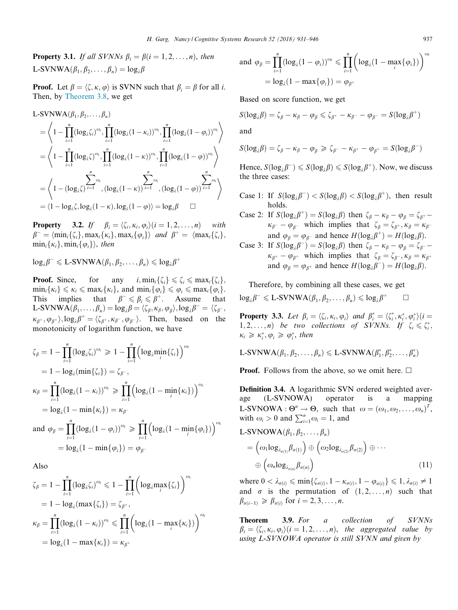**Property 3.1.** If all SVNNs  $\beta_i = \beta(i = 1, 2, ..., n)$ , then L-SVNWA $(\beta_1, \beta_2, \ldots, \beta_n) = \log_{\lambda} \beta$ 

**Proof.** Let  $\beta = \langle \zeta, \kappa, \varphi \rangle$  is SVNN such that  $\beta_i = \beta$  for all i. Then, by [Theorem 3.8,](#page-5-0) we get

$$
L-SVNWA(\beta_1, \beta_2, ..., \beta_n)
$$
\n
$$
= \left\langle 1 - \prod_{i=1}^n (\log_{\lambda} \zeta_i)^{\omega_i}, \prod_{i=1}^n (\log_{\lambda} (1 - \kappa_i))^{\omega_i}, \prod_{i=1}^n (\log_{\lambda} (1 - \varphi_i))^{\omega_i} \right\rangle
$$
\n
$$
= \left\langle 1 - \prod_{i=1}^n (\log_{\lambda} \zeta)^{\omega_i}, \prod_{i=1}^n (\log_{\lambda} (1 - \kappa))^{\omega_i}, \prod_{i=1}^n (\log_{\lambda} (1 - \varphi))^{\omega_i} \right\rangle
$$
\n
$$
= \left\langle 1 - (\log_{\lambda} \zeta)^{\sum_{i=1}^n \omega_i}, (\log_{\lambda} (1 - \kappa))^{\sum_{i=1}^n \omega_i}, (\log_{\lambda} (1 - \varphi))^{\sum_{i=1}^n \omega_i} \right\rangle
$$
\n
$$
= \left\langle 1 - \log_{\lambda} \zeta, \log_{\lambda} (1 - \kappa), \log_{\lambda} (1 - \varphi) \right\rangle = \log_{\lambda} \beta \qquad \Box
$$

**Property** 3.2. If  $\beta_i = \langle \zeta_i, \kappa_i, \varphi_i \rangle (i = 1, 2, \dots, n)$  with  $\beta^-=\langle \min_i\{\zeta_i\},\max_i\{\kappa_i\},\max_i\{\varphi_i\}\rangle$  and  $\beta^+=\langle \max_i\{\zeta_i\},\rangle$  $\min_i {\kappa_i}$ ,  $\min_i {\varphi_i}$ , then

 $\log_{2} \beta^{-} \leq L\text{-SVNWA}(\beta_1, \beta_2, \ldots, \beta_n) \leqslant \log_{2} \beta^{+}$ 

**Proof.** Since, for any  $i, \min_i {\{\zeta_i\}} \leq {\zeta_i} \leq \max_i {\{\zeta_i\}}$ <br>min  ${\{x_i\}} \leq \kappa_i \leq \max_i {\{\kappa_i\}}$  and min  ${\{\alpha_i\}} \leq \alpha_i \leq \max_i {\{\alpha_i\}}$  $\min_i \{\kappa_i\} \leq \kappa_i \leq \max_i \{\kappa_i\},$  and  $\min_i \{\varphi_i\} \leq \varphi_i \leq \max_i \{\varphi_i\}.$ <br>This implies that  $\beta^- \leq \beta \leq \beta^+$  Assume that This implies that  $\beta^- \leq \beta_i \leq \beta^+$ . Assume that L-SVNWA $(\beta_1,\ldots,\beta_n)=\log_{\lambda}\beta = \langle \zeta_{\beta}, \kappa_{\beta}, \varphi_{\beta} \rangle$ ,  $\log_{\lambda}\beta^{-} = \langle \zeta_{\beta^{-}},$  $\langle\kappa_{\beta^+},\varphi_{\beta^+}\rangle$ ,  $\log_\lambda\beta^+ = \langle\zeta_{\beta^+},\kappa_{\beta^-},\varphi_{\beta^-}\rangle$ . Then, based on the monotonicity of logarithm function, we have

$$
\zeta_{\beta} = 1 - \prod_{i=1}^{n} (\log_{\lambda} \zeta_{i})^{\omega_{i}} \ge 1 - \prod_{i=1}^{n} (\log_{\lambda} \min_{i} {\{\zeta_{i}\}})^{\omega_{i}}
$$
  
\n
$$
= 1 - \log_{\lambda} (\min \{\zeta_{i}\}) = \zeta_{\beta}^{-},
$$
  
\n
$$
\kappa_{\beta} = \prod_{i=1}^{n} (\log_{\lambda} (1 - \kappa_{i}))^{\omega_{i}} \ge \prod_{i=1}^{n} (\log_{\lambda} (1 - \min_{i} {\{\kappa_{i}\}}))^{\omega_{i}}
$$
  
\n
$$
= \log_{\lambda} (1 - \min \{\kappa_{i}\}) = \kappa_{\beta}^{-}
$$
  
\nand  $\varphi_{\beta} = \prod_{i=1}^{n} (\log_{\lambda} (1 - \varphi_{i}))^{\omega_{i}} \ge \prod_{i=1}^{n} (\log_{\lambda} (1 - \min_{i} {\{\varphi_{i}\}}))^{\omega_{i}}$   
\n
$$
= \log_{\lambda} (1 - \min \{\varphi_{i}\}) = \varphi_{\beta}^{-}
$$

Also

$$
\zeta_{\beta} = 1 - \prod_{i=1}^{n} (\log_{\lambda} \zeta_{i})^{\omega_{i}} \leq 1 - \prod_{i=1}^{n} \left( \log_{\lambda} \max_{i} {\{\zeta_{i}\}} \right)^{\omega_{i}}
$$
  
\n
$$
= 1 - \log_{\lambda} (\max \{\zeta_{i}\}) = \zeta_{\beta^{+}},
$$
  
\n
$$
\kappa_{\beta} = \prod_{i=1}^{n} (\log_{\lambda} (1 - \kappa_{i}))^{\omega_{i}} \leq \prod_{i=1}^{n} \left( \log_{\lambda} (1 - \max_{i} {\{\kappa_{i}\}}) \right)^{\omega_{i}}
$$
  
\n
$$
= \log_{\lambda} (1 - \max \{\kappa_{i}\}) = \kappa_{\beta^{+}}
$$

and 
$$
\varphi_{\beta} = \prod_{i=1}^{n} (\log_{\lambda}(1 - \varphi_{i}))^{\omega_{i}} \le \prod_{i=1}^{n} \left( \log_{\lambda}(1 - \max_{i} {\varphi_{i}}) \right)^{\omega_{i}}
$$
  
=  $\log_{\lambda}(1 - \max{\varphi_{i}}) = \varphi_{\beta^{+}}$ 

Based on score function, we get

$$
S(\log_{\lambda}\beta)=\zeta_{\beta}-\kappa_{\beta}-\varphi_{\beta}\leqslant \zeta_{\beta^{+}}-\kappa_{\beta^{-}}-\varphi_{\beta^{-}}=S(\log_{\lambda}\beta^{+})
$$

and

$$
S(\log_{\lambda}\beta)=\zeta_{\beta}-\kappa_{\beta}-\varphi_{\beta}\geqslant \zeta_{\beta^{-}}-\kappa_{\beta^{+}}-\varphi_{\beta^{+}}=S(\log_{\lambda}\beta^{-})
$$

Hence,  $S(\log_{2}\beta^{-}) \leq S(\log_{2}\beta) \leq S(\log_{2}\beta^{+})$ . Now, we discuss the three cases:

- Case 1: If  $S(\log_{2}\beta^{-}) < S(\log_{2}\beta) < S(\log_{2}\beta^{+})$ , then result holds.
- Case 2: If  $S(log_{\lambda}\beta^{+}) = S(log_{\lambda}\beta)$  then  $\zeta_{\beta} \kappa_{\beta} \varphi_{\beta} = \zeta_{\beta^{+}} \zeta_{\beta}$  $\kappa_{\beta} - \varphi_{\beta}$  which implies that  $\zeta_{\beta} = \zeta_{\beta}$ ,  $\kappa_{\beta} = \kappa_{\beta}$ and  $\varphi_{\beta} = \varphi_{\beta}$  and hence  $H(\log_{\lambda} \beta^+) = H(\log_{\lambda} \beta)$ .
- Case 3: If  $S(log_{\lambda}\beta^{-}) = S(log_{\lambda}\beta)$  then  $\zeta_{\beta} \kappa_{\beta} \varphi_{\beta} = \zeta_{\beta} \varphi_{\beta}$  $\kappa_{\beta^+} - \varphi_{\beta^+}$  which implies that  $\zeta_{\beta} = \zeta_{\beta^-}, \kappa_{\beta} = \kappa_{\beta^+}$ and  $\varphi_{\beta} = \varphi_{\beta^+}$  and hence  $H(\log_{\lambda} \beta^{-}) = H(\log_{\lambda} \beta)$ .

Therefore, by combining all these cases, we get

$$
\log_{\lambda} \beta^{-} \leqslant \text{L-SVNWA}(\beta_1, \beta_2, \ldots, \beta_n) \leqslant \log_{\lambda} \beta^{+} \qquad \square
$$

**Property 3.3.** Let  $\beta_i = \langle \zeta_i, \kappa_i, \varphi_i \rangle$  and  $\beta_i^* = \langle \zeta_i^*, \kappa_i^*, \varphi_i^* \rangle (i = 1, 2, \ldots, n)$  be two collections of SVNNs If  $\zeta \leq \zeta^*$ 1, 2, ..., n) be two collections of SVNNs. If  $\zeta_i \leq \zeta_i^*$ ,<br> $\kappa_i > \kappa^*$  (a)  $\geq \omega^*$  then  $\kappa_i \geqslant \kappa_i^*, \varphi_i \geqslant \varphi_i^*,$  then

$$
L-SVNWA(\beta_1, \beta_2, \ldots, \beta_n) \leq L-SVNWA(\beta_1^*, \beta_2^*, \ldots, \beta_n^*)
$$

**Proof.** Follows from the above, so we omit here.  $\Box$ 

Definition 3.4. A logarithmic SVN ordered weighted average (L-SVNOWA) operator is a mapping L-SVNOWA :  $\Theta^n \to \Theta$ , such that  $\omega = (\omega_1, \omega_2, ..., \omega_n)^T$ , with  $\omega_i > 0$  and  $\sum_{i=1}^n \omega_i = 1$ , and

$$
L-SVNOWA(\beta_1, \beta_2, ..., \beta_n)
$$
  
=  $(\omega_1 \log_{\lambda_{\sigma(1)}} \beta_{\sigma(1)}) \oplus (\omega_2 \log_{\lambda_{\sigma(2)}} \beta_{\sigma(2)}) \oplus \cdots$   
 $\oplus (\omega_n \log_{\lambda_{\sigma(n)}} \beta_{\sigma(n)})$  (11)

where  $0 < \lambda_{\sigma(i)} \leqslant \min\{\zeta_{\sigma(i)}, 1 - \kappa_{\sigma(i)}, 1 - \varphi_{\sigma(i)}\} \leqslant 1, \lambda_{\sigma(i)} \neq 1$ and  $\sigma$  is the permutation of  $(1, 2, \ldots, n)$  such that  $\beta_{\sigma(i-1)} \geq \beta_{\sigma(i)}$  for  $i = 2, 3, \ldots, n$ .

Theorem 3.9. For a collection of SVNNs  $\beta_i = \langle \zeta_i, \kappa_i, \varphi_i \rangle (i = 1, 2, \dots, n)$ , the aggregated value by<br>using L-SVNOWA operator is still SVNN and given by using L-SVNOWA operator is still SVNN and given by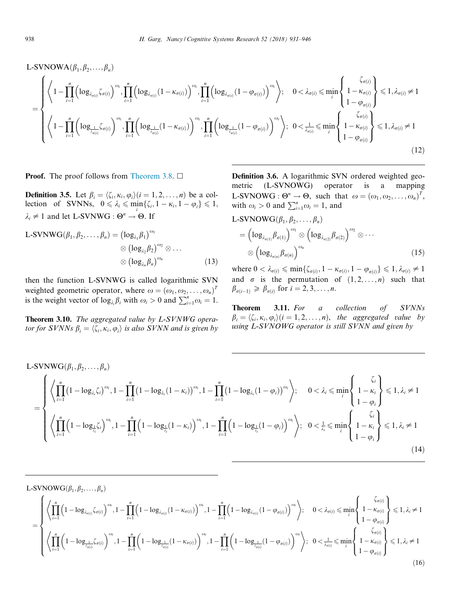<span id="page-7-0"></span>L-SVNOWA $(\beta_1, \beta_2, \ldots, \beta_n)$ 

$$
= \begin{cases} \left\langle 1 - \prod_{i=1}^{n} \left( \log_{\lambda_{\sigma(i)}} \zeta_{\sigma(i)} \right)^{\omega_{i}}, \prod_{i=1}^{n} \left( \log_{\lambda_{\sigma(i)}} (1 - \kappa_{\sigma(i)}) \right)^{\omega_{i}}, \prod_{i=1}^{n} \left( \log_{\lambda_{\sigma(i)}} (1 - \varphi_{\sigma(i)}) \right)^{\omega_{i}} \right\rangle; & 0 < \lambda_{\sigma(i)} \leq \min_{i} \left\{ 1 - \kappa_{\sigma(i)} \atop 1 - \varphi_{\sigma(i)} \right\} \leq 1, \lambda_{\sigma(i)} \neq 1 \\ \left\langle 1 - \prod_{i=1}^{n} \left( \log_{\frac{1}{\lambda_{\sigma(i)}}} \zeta_{\sigma(i)} \right)^{\omega_{i}}, \prod_{i=1}^{n} \left( \log_{\frac{1}{\lambda_{\sigma(i)}}} (1 - \kappa_{\sigma(i)}) \right)^{\omega_{i}}, \prod_{i=1}^{n} \left( \log_{\frac{1}{\lambda_{\sigma(i)}}} (1 - \varphi_{\sigma(i)}) \right)^{\omega_{i}} \right\rangle; & 0 < \frac{1}{\lambda_{\sigma(i)}} \leq \min_{i} \left\{ 1 - \kappa_{\sigma(i)} \atop 1 - \varphi_{\sigma(i)} \right\} \leq 1, \lambda_{\sigma(i)} \neq 1 \end{cases}
$$
(12)

**Proof.** The proof follows from [Theorem 3.8.](#page-5-0)  $\Box$ 

**Definition 3.5.** Let  $\beta_i = \langle \zeta_i, \kappa_i, \varphi_i \rangle (i = 1, 2, \dots, n)$  be a collection of SVNNs,  $0 \le \lambda_i \le \min\{\zeta_i, 1 - \kappa_i, 1 - \varphi_i\} \le 1$ ,  $\lambda_i \neq 1$  and let L-SVNWG :  $\Theta^n \rightarrow \Theta$ . If

$$
\begin{aligned} \text{L-SVNWG}(\beta_1, \beta_2, \dots, \beta_n) &= \left(\log_{\lambda_1} \beta_1\right)^{\omega_1} \\ &\otimes \left(\log_{\lambda_2} \beta_2\right)^{\omega_2} \otimes \dots \\ &\otimes \left(\log_{\lambda_n} \beta_n\right)^{\omega_n} \end{aligned} \tag{13}
$$

then the function L-SVNWG is called logarithmic SVN weighted geometric operator, where  $\omega = (\omega_1, \omega_2, \dots, \omega_n)^T$ <br>is the weight vector of  $\log R$  with  $\omega > 0$  and  $\sum_{n=1}^{\infty} \omega_n = 1$ is the weight vector of  $\log_{\lambda_i} \beta_i$  with  $\omega_i > 0$  and  $\sum_{i=1}^n \omega_i = 1$ .

Theorem 3.10. The aggregated value by L-SVNWG operator for SVNNs  $\beta_i = \langle \zeta_i, \kappa_i, \varphi_i \rangle$  is also SVNN and is given by

Definition 3.6. A logarithmic SVN ordered weighted geometric (L-SVNOWG) operator is a mapping L-SVNOWG :  $\Theta^n \to \Theta$ , such that  $\omega = (\omega_1, \omega_2, ..., \omega_n)^T$ ,<br>with  $\omega > 0$  and  $\sum^n \omega_i = 1$  and with  $\omega_i > 0$  and  $\sum_{i=1}^n \omega_i = 1$ , and

$$
L-SVNOWG(\beta_1, \beta_2, ..., \beta_n)
$$
  
=  $(log_{\lambda_{\sigma(1)}} \beta_{\sigma(1)})^{\omega_1} \otimes (log_{\lambda_{\sigma(2)}} \beta_{\sigma(2)})^{\omega_2} \otimes ...$   
 $\otimes (log_{\lambda_{\sigma(n)}} \beta_{\sigma(n)})^{\omega_n}$  (15)

where  $0 < \lambda_{\sigma(i)} \leqslant \min\{\zeta_{\sigma(i)}, 1 - \kappa_{\sigma(i)}, 1 - \varphi_{\sigma(i)}\} \leqslant 1, \lambda_{\sigma(i)} \neq 1$ and  $\sigma$  is the permutation of  $(1, 2, \ldots, n)$  such that  $\beta_{\sigma(i-1)} \geq \beta_{\sigma(i)}$  for  $i = 2, 3, \ldots, n$ .

Theorem 3.11. For a collection of SVNNs  $\beta_i = \langle \zeta_i, \kappa_i, \varphi_i \rangle (i = 1, 2, \dots, n)$ , the aggregated value by using L-SVNOWG operator is still SVNN and given by

$$
L-SVNWG(\beta_1, \beta_2, ..., \beta_n)
$$
\n
$$
= \begin{cases}\n\left\langle \prod_{i=1}^n (1 - \log_{\lambda_i} \zeta_i)^{\omega_i}, 1 - \prod_{i=1}^n (1 - \log_{\lambda_i} (1 - \kappa_i))^{\omega_i}, 1 - \prod_{i=1}^n (1 - \log_{\lambda_i} (1 - \varphi_i))^{\omega_i} \right\rangle; & 0 < \lambda_i \leq \min_i \left\{ 1 - \kappa_i \atop 1 - \varphi_i \right\} \leq 1, \lambda_i \neq 1 \\
\left\langle \prod_{i=1}^n (1 - \log_{\frac{1}{\lambda_i}} \zeta_i)^{\omega_i}, 1 - \prod_{i=1}^n (1 - \log_{\frac{1}{\lambda_i}} (1 - \kappa_i))^{\omega_i}, 1 - \prod_{i=1}^n (1 - \log_{\frac{1}{\lambda_i}} (1 - \varphi_i))^{\omega_i} \right\rangle; & 0 < \frac{1}{\lambda_i} \leq \min_i \left\{ 1 - \kappa_i \atop 1 - \varphi_i \right\} \leq 1, \lambda_i \neq 1\n\end{cases}
$$
\n(14)

L-SVNOW $G(\beta_1, \beta_2, \ldots, \beta_n)$ 

$$
= \begin{cases} \left\langle \prod_{i=1}^{n} \left(1 - \log_{\lambda_{\sigma(i)}} \zeta_{\sigma(i)}\right)^{\omega_{i}}, 1 - \prod_{i=1}^{n} \left(1 - \log_{\lambda_{\sigma(i)}} (1 - \kappa_{\sigma(i)})\right)^{\omega_{i}}, 1 - \prod_{i=1}^{n} \left(1 - \log_{\lambda_{\sigma(i)}} (1 - \varphi_{\sigma(i)})\right)^{\omega_{i}}\right); \quad 0 < \lambda_{\sigma(i)} \leqslant \min_{i} \left\{1 - \kappa_{\sigma(i)} \atop 1 - \varphi_{\sigma(i)}\right\} \leqslant 1, \lambda_{i} \neq 1 \\ \left\langle \prod_{i=1}^{n} \left(1 - \log_{\frac{1}{\lambda_{\sigma(i)}} \zeta_{\sigma(i)}}\right)^{\omega_{i}}, 1 - \prod_{i=1}^{n} \left(1 - \log_{\frac{1}{\lambda_{\sigma(i)}} (1 - \kappa_{\sigma(i)})}\right)^{\omega_{i}}, 1 - \prod_{i=1}^{n} \left(1 - \log_{\frac{1}{\lambda_{\sigma(i)}} (1 - \varphi_{\sigma(i)})}\right)^{\omega_{i}}\right); \quad 0 < \frac{1}{\lambda_{\sigma(i)}} \leqslant \min_{i} \left\{\frac{\zeta_{\sigma(i)}}{1 - \kappa_{\sigma(i)}}\right\} \leqslant 1, \lambda_{i} \neq 1 \end{cases}
$$
\n
$$
(16)
$$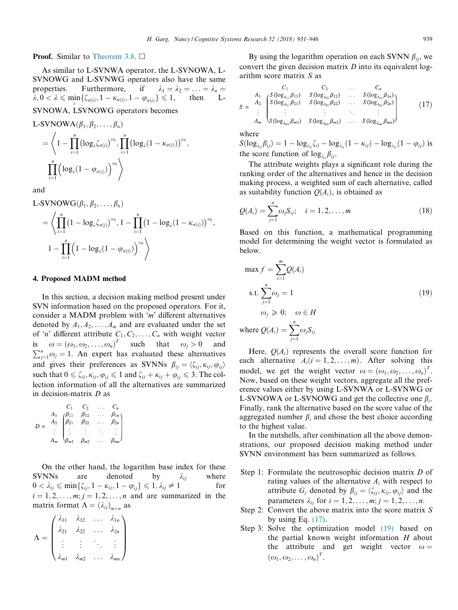<span id="page-8-0"></span>**Proof.** Similar to [Theorem 3.8.](#page-5-0)  $\Box$ 

As similar to L-SVNWA operator, the L-SVNOWA, L-SVNOWG and L-SVNWG operators also have the same properties. Furthermore, if  $\lambda_1 = \lambda_2 = ... = \lambda_n =$ <br>  $\lambda_1 \geq 0 \leq k \leq \min \{k, \ldots, 1 - k, \ldots, 1 - \ldots, \ldots, k-1 - \text{ then } 1 - \ldots \}$  $\lambda, 0 < \lambda \leqslant \min_{i} {\lbrace \zeta_{\sigma(i)}, 1 - \kappa_{\sigma(i)}, 1 - \varphi_{\sigma(i)} \rbrace} \leqslant 1,$  then L-SVNOWA, LSVNOWG operators becomes

L-SVNOWA $(\beta_1, \beta_2, \ldots, \beta_n)$  $=\left\langle 1-\prod_{i=1}^{n}\right\rangle$  $\left(\log_{\lambda} \zeta_{\sigma(i)}\right)^{\omega_i}, \prod_{i=1}^n$  $\prod_{i=1} \left( \log_{\lambda}(1-\kappa_{\sigma(i)}) \right)^{\omega_i},$ \*  $\prod^n$  $\left\langle \prod_{i=1}^n \left( \log_\lambda(1-\varphi_{\sigma(i)}) \right)^{\omega_i} \right\rangle$ 

and

L-SVNOW $G(\beta_1, \beta_2, \ldots, \beta_n)$ 

$$
= \left\langle \prod_{i=1}^n \left(1 - \log_\lambda \zeta_{\sigma(i)}\right)^{\omega_i}, 1 - \prod_{i=1}^n \left(1 - \log_\lambda(1 - \kappa_{\sigma(i)})\right)^{\omega_i}, 1 - \prod_{i=1}^n \left(1 - \log_\lambda(1 - \varphi_{\sigma(i)})\right)^{\omega_i} \right\rangle
$$

## 4. Proposed MADM method

In this section, a decision making method present under SVN information based on the proposed operators. For it, consider a MADM problem with 'm' different alternatives denoted by  $A_1, A_2, \ldots, A_m$  and are evaluated under the set of 'n' different attribute  $C_1, C_2, \ldots, C_n$  with weight vector is  $\omega = (\omega_1, \omega_2, \dots, \omega_n)^T$ <br> $\sum_{n=1}^{n} \Delta_{n}$  expert 1 is  $\omega = (\omega_1, \omega_2, ..., \omega_n)^T$  such that  $\omega_j > 0$  and  $\sum_{i=1}^n \omega_i = 1$ . An expert has evaluated these alternatives  $j_{-1}^{n} \omega_j = 1$ . An expert has evaluated these alternatives and gives their preferences as SVNNs  $\beta_{ij} = \langle \zeta_{ij}, \kappa_{ij}, \varphi_{ij} \rangle$ such that  $0 \le \zeta_{ii}, \kappa_{ij}, \varphi_{ii} \le 1$  and  $\zeta_{ii} + \kappa_{ij} + \varphi_{ii} \le 3$ . The collection information of all the alternatives are summarized in decision-matrix D as

$$
D = \begin{array}{ccccc} & C_1 & C_2 & \dots & C_n \\ A_1 & \beta_{11} & \beta_{12} & \dots & \beta_{1n} \\ A_2 & \beta_{21} & \beta_{22} & \dots & \beta_{2n} \\ \vdots & \vdots & \vdots & \ddots & \vdots \\ A_m & \beta_{m1} & \beta_{m2} & \dots & \beta_{mn} \end{array}
$$

On the other hand, the logarithm base index for these SVNNs are denoted by  $\lambda_{ii}$  where  $0 < \lambda_{ij} \leqslant \min\{\zeta_{ij}, 1 - \kappa_{ij}, 1 - \varphi_{ij}\} \leqslant 1, \lambda_{ij} \neq 1$  for  $i = 1, 2, \ldots, m; j = 1, 2, \ldots, n$  and are summarized in the matrix format  $\Lambda = (\lambda_{ij})_{m \times n}$  as

$$
\Lambda = \begin{pmatrix} \lambda_{11} & \lambda_{12} & \dots & \lambda_{1n} \\ \lambda_{21} & \lambda_{22} & \dots & \lambda_{2n} \\ \vdots & \vdots & \ddots & \vdots \\ \lambda_{m1} & \lambda_{m2} & \dots & \lambda_{mn} \end{pmatrix}
$$

By using the logarithm operation on each SVNN  $\beta_{ii}$ , we convert the given decision matrix  $D$  into its equivalent logarithm score matrix S as

$$
S = \begin{pmatrix} C_1 & C_2 & \dots & C_n \\ A_1 & S(\log_{\lambda_{11}} \beta_{11}) & S(\log_{\lambda_{12}} \beta_{12}) & \dots & S(\log_{\lambda_{1n}} \beta_{1n}) \\ S(\log_{\lambda_{21}} \beta_{21}) & S(\log_{\lambda_{22}} \beta_{22}) & \dots & S(\log_{\lambda_{2n}} \beta_{2n}) \\ \vdots & \vdots & \vdots & \ddots & \vdots \\ S(\log_{\lambda_{m1}} \beta_{m1}) & S(\log_{\lambda_{m2}} \beta_{m2}) & \dots & S(\log_{\lambda_{mn}} \beta_{mn}) \end{pmatrix}
$$
(17)

where

 $S(\log_{\lambda_{ij}}\beta_{ij}) = 1 - \log_{\lambda_{ij}}\zeta_{ij} - \log_{\lambda_{ij}}(1 - \kappa_{ij}) - \log_{\lambda_{ij}}(1 - \varphi_{ij})$  is the score function of  $\log_{\lambda_{ij}}\beta_{ij}$ .

The attribute weights plays a significant role during the ranking order of the alternatives and hence in the decision making process, a weighted sum of each alternative, called as suitability function  $Q(A_i)$ , is obtained as

$$
Q(A_i) = \sum_{j=1}^{n} \omega_j S_{ij}; \quad i = 1, 2, ..., m
$$
 (18)

Based on this function, a mathematical programming model for determining the weight vector is formulated as below.

$$
\max f = \sum_{i=1}^{m} Q(A_i)
$$
  
s.t. 
$$
\sum_{j=1}^{n} \omega_j = 1
$$
  

$$
\omega_j \ge 0; \quad \omega \in H
$$
  
where  $Q(A_i) = \sum_{j=1}^{n} \omega_j S_{ij}$  (19)

Here,  $O(A_i)$  represents the overall score function for each alternative  $A_i(i = 1, 2, ..., m)$ . After solving this model, we get the weight vector  $\omega = (\omega_1, \omega_2, ..., \omega_n)^T$ .<br>Now based on these weight vectors aggregate all the pref-Now, based on these weight vectors, aggregate all the preference values either by using L-SVNWA or L-SVNWG or L-SVNOWA or L-SVNOWG and get the collective one  $\beta_i$ . Finally, rank the alternative based on the score value of the aggregated number  $\beta_i$  and chose the best choice according to the highest value.

In the nutshells, after combination all the above demonstrations, our proposed decision making method under SVNN environment has been summarized as follows.

- Step 1: Formulate the neutrosophic decision matrix D of rating values of the alternative  $A_i$  with respect to attribute  $G_j$  denoted by  $\beta_{ij} = \langle \zeta_{ij}, \kappa_{ij}, \varphi_{ij} \rangle$  and the parameters  $\lambda_{ij}$  for  $i = 1, 2, \ldots, m; j = 1, 2, \ldots, n$ .
- Step 2: Convert the above matrix into the score matrix S by using Eq.  $(17)$ .
- Step 3: Solve the optimization model (19) based on the partial known weight information  $H$  about the attribute and get weight vector  $\omega =$  $(\omega_1, \omega_2, \ldots, \omega_n)^T$ .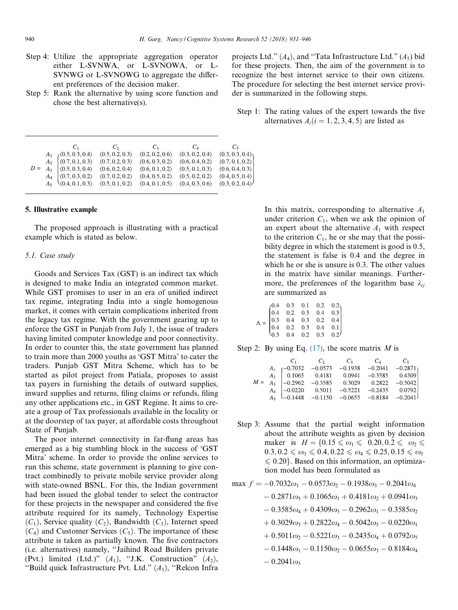- <span id="page-9-0"></span>Step 4: Utilize the appropriate aggregation operator either L-SVNWA, or L-SVNOWA, or L-SVNWG or L-SVNOWG to aggregate the different preferences of the decision maker.
- Step 5: Rank the alternative by using score function and chose the best alternative(s).

projects Ltd."  $(A_4)$ , and "Tata Infrastructure Ltd."  $(A_5)$  bid for these projects. Then, the aim of the government is to recognize the best internet service to their own citizens. The procedure for selecting the best internet service provider is summarized in the following steps.

# Step 1: The rating values of the expert towards the five alternatives  $A_i$  ( $i = 1, 2, 3, 4, 5$ ) are listed as

|  | $C_1$                                         | $C_2$           | $C_3$ and $C_4$                 | $C_4$ and $C_4$                 | $C_5$                           |
|--|-----------------------------------------------|-----------------|---------------------------------|---------------------------------|---------------------------------|
|  | $A_1 \quad \text{{\emph{7}}} (0.5, 0.3, 0.4)$ | (0.5, 0.2, 0.3) | $\langle 0.2, 0.2, 0.6 \rangle$ | (0.3, 0.2, 0.4)                 | (0.3, 0.3, 0.4)                 |
|  | $A_2$ (0.7, 0.1, 0.3)                         | (0.7, 0.2, 0.3) | $\langle 0.6, 0.3, 0.2 \rangle$ | (0.6, 0.4, 0.2)                 | $\langle 0.7, 0.1, 0.2 \rangle$ |
|  | $D = A_3 \mid (0.5, 0.3, 0.4)$                | (0.6, 0.2, 0.4) | $\langle 0.6, 0.1, 0.2 \rangle$ | (0.5, 0.1, 0.3)                 | (0.6, 0.4, 0.3)                 |
|  | $A_4$ (0.7, 0.3, 0.2)                         | (0.7, 0.2, 0.2) | (0.4, 0.5, 0.2)                 | $\langle 0.5, 0.2, 0.2 \rangle$ | (0.4, 0.5, 0.4)                 |
|  | $A_5 \quad \{(0.4, 0.1, 0.3)\}$               | (0.5, 0.1, 0.2) | (0.4, 0.1, 0.5)                 | (0.4, 0.3, 0.6)                 | (0.3, 0.2, 0.4)                 |
|  |                                               |                 |                                 |                                 |                                 |

# 5. Illustrative example

The proposed approach is illustrating with a practical example which is stated as below.

# 5.1. Case study

Goods and Services Tax (GST) is an indirect tax which is designed to make India an integrated common market. While GST promises to user in an era of unified indirect tax regime, integrating India into a single homogenous market, it comes with certain complications inherited from the legacy tax regime. With the government gearing up to enforce the GST in Punjab from July 1, the issue of traders having limited computer knowledge and poor connectivity. In order to counter this, the state government has planned to train more than 2000 youths as 'GST Mitra' to cater the traders. Punjab GST Mitra Scheme, which has to be started as pilot project from Patiala, proposes to assist tax payers in furnishing the details of outward supplies, inward supplies and returns, filing claims or refunds, filing any other applications etc., in GST Regime. It aims to create a group of Tax professionals available in the locality or at the doorstep of tax payer, at affordable costs throughout State of Punjab.

The poor internet connectivity in far-flung areas has emerged as a big stumbling block in the success of 'GST Mitra' scheme. In order to provide the online services to run this scheme, state government is planning to give contract combinedly to private mobile service provider along with state-owned BSNL. For this, the Indian government had been issued the global tender to select the contractor for these projects in the newspaper and considered the five attribute required for its namely, Technology Expertise  $(C_1)$ , Service quality  $(C_2)$ , Bandwidth  $(C_3)$ , Internet speed  $(C_4)$  and Customer Services  $(C_5)$ . The importance of these attribute is taken as partially known. The five contractors (i.e. alternatives) namely, ''Jaihind Road Builders private (Pvt.) limited (Ltd.)"  $(A_1)$ , "J.K. Construction"  $(A_2)$ , "Build quick Infrastructure Pvt. Ltd."  $(A_3)$ , "Relcon Infra

In this matrix, corresponding to alternative  $A_1$ under criterion  $C_1$ , when we ask the opinion of an expert about the alternative  $A_1$  with respect to the criterion  $C_1$ , he or she may that the possibility degree in which the statement is good is 0.5, the statement is false is 0.4 and the degree in which he or she is unsure is 0.3. The other values in the matrix have similar meanings. Furthermore, the preferences of the logarithm base  $\lambda_{ii}$ are summarized as

$$
\Lambda = \begin{pmatrix} 0.4 & 0.3 & 0.1 & 0.2 & 0.2 \\ 0.4 & 0.2 & 0.3 & 0.4 & 0.3 \\ 0.3 & 0.4 & 0.3 & 0.2 & 0.4 \\ 0.4 & 0.2 & 0.3 & 0.4 & 0.1 \\ 0.3 & 0.4 & 0.2 & 0.3 & 0.2 \end{pmatrix}
$$

# Step 2: By using Eq.  $(17)$ , the score matrix *M* is

|  |                                                                                                | $C_1$ $C_2$ $C_3$ $C_4$ $C_5$ |  |
|--|------------------------------------------------------------------------------------------------|-------------------------------|--|
|  | $A_1$ $[-0.7032$ $-0.0573$ $-0.1938$ $-0.2041$ $-0.2871$                                       |                               |  |
|  | $A_2$ 0.1065 0.4181 0.0941 -0.3585 0.4309                                                      |                               |  |
|  | $M = A_3$ -0.2962 -0.3585 0.3029 0.2822 -0.5042<br>$A_4$ -0.0220 0.5011 -0.5221 -0.2435 0.0792 |                               |  |
|  |                                                                                                |                               |  |
|  | $A_5$ $\begin{bmatrix} -0.1448 & -0.1150 & -0.0655 & -0.8184 & -0.2041 \end{bmatrix}$          |                               |  |

Step 3: Assume that the partial weight information about the attribute weights as given by decision maker is  $H = \{0.15 \le \omega_1 \le 0.20, 0.2 \le \omega_2 \le$  $0.3, 0.2 \leq \omega_3 \leq 0.4, 0.22 \leq \omega_4 \leq 0.25, 0.15 \leq \omega_5$  $\leq 0.20$ . Based on this information, an optimization model has been formulated as

max  $f = -0.7032\omega_1 - 0.0573\omega_2 - 0.1938\omega_3 - 0.2041\omega_4$  $-0.2871\omega_5 + 0.1065\omega_1 + 0.4181\omega_2 + 0.0941\omega_3$  $-0.3585\omega_4 + 0.4309\omega_5 - 0.2962\omega_1 - 0.3585\omega_2$  $+0.3029\omega_3 + 0.2822\omega_4 - 0.5042\omega_5 - 0.0220\omega_1$  $+0.5011\omega_2 - 0.5221\omega_3 - 0.2435\omega_4 + 0.0792\omega_5$  $-0.1448\omega_1 - 0.1150\omega_2 - 0.0655\omega_3 - 0.8184\omega_4$  $-0.2041\omega_5$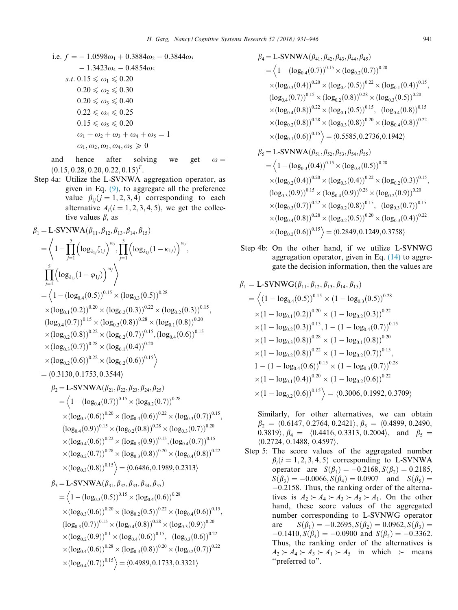i.e. 
$$
f = -1.0598\omega_1 + 0.3884\omega_2 - 0.3844\omega_3
$$
  
\t\t\t $-1.3423\omega_4 - 0.4854\omega_5$   
\t\t\t $s.t. 0.15 \le \omega_1 \le 0.20$   
\t\t\t $0.20 \le \omega_2 \le 0.30$   
\t\t\t $0.20 \le \omega_3 \le 0.40$   
\t\t\t $0.22 \le \omega_4 \le 0.25$   
\t\t\t $0.15 \le \omega_5 \le 0.20$   
\t\t\t $\omega_1 + \omega_2 + \omega_3 + \omega_4 + \omega_5 = 1$   
\t\t\t $\omega_1, \omega_2, \omega_3, \omega_4, \omega_5 \ge 0$ 

and hence after solving we get  $\omega = (0.15, 0.28, 0.20, 0.22, 0.15)^T$  $(0.15, 0.28, 0.20, 0.22, 0.15)^T$ .<br>4a: Utilize the L-SVNWA

Step 4a: Utilize the L-SVNWA aggregation operator, as given in Eq. [\(9\)](#page-4-0), to aggregate all the preference value  $\beta_{ij}$  $(j = 1, 2, 3, 4)$  corresponding to each alternative  $A_i(i = 1, 2, 3, 4, 5)$ , we get the collective values  $\beta_i$  as

$$
\beta_{1} = L-SVNWA(\beta_{11}, \beta_{12}, \beta_{13}, \beta_{14}, \beta_{15})
$$
\n
$$
= \left\langle 1 - \prod_{j=1}^{s} \left( \log_{\lambda_{1j}}(1-\varphi_{1j}) \right)^{\omega_{j}} \right\rangle_{j=1}^{s} \left( \log_{\lambda_{1j}}(1-\kappa_{1j}) \right)^{\omega_{j}},
$$
\n
$$
\prod_{j=1}^{s} \left( \log_{\lambda_{1j}}(1-\varphi_{1j}) \right)^{\omega_{j}} \right\rangle
$$
\n
$$
= \left\langle 1 - (\log_{0.4}(0.5))^{0.15} \times (\log_{0.3}(0.5))^{0.28} \times (\log_{0.2}(0.3))^{0.15},
$$
\n
$$
(\log_{0.4}(0.7))^{0.15} \times (\log_{0.3}(0.8))^{0.22} \times (\log_{0.2}(0.3))^{0.29} \times (\log_{0.2}(0.3))^{0.15},
$$
\n
$$
(\log_{0.2}(0.8))^{0.22} \times (\log_{0.2}(0.7))^{0.15}, (\log_{0.4}(0.6))^{0.20} \times (\log_{0.3}(0.7))^{0.28} \times (\log_{0.1}(0.4))^{0.20} \times (\log_{0.2}(0.6))^{0.22} \times (\log_{0.2}(0.6))^{0.15} \right\rangle
$$
\n
$$
= \langle 0.3130, 0.1753, 0.3544 \rangle
$$
\n
$$
\beta_{2} = L-SVNWA(\beta_{21}, \beta_{22}, \beta_{23}, \beta_{24}, \beta_{25})
$$
\n
$$
= \left\langle 1 - (\log_{0.4}(0.7))^{0.15} \times (\log_{0.2}(0.6))^{0.22} \times (\log_{0.3}(0.7))^{0.28} \times (\log_{0.3}(0.7))^{0.15},
$$
\n
$$
(\log_{0.4}(0.9))^{0.15} \times (\log_{0.4}(0.6))^{0.22} \times (\log_{0.3}(0.7))^{0.15},
$$
\n
$$
(\log_{0.4}(0.9))^{0.15
$$

$$
\beta_4 = \text{L-SVMWA}(\beta_{41}, \beta_{42}, \beta_{43}, \beta_{44}, \beta_{45})
$$
\n
$$
= \left\langle 1 - (\log_{0.4}(0.7))^{0.15} \times (\log_{0.2}(0.7))^{0.28} \times (\log_{0.1}(0.4))^{0.15}, (log_{0.4}(0.7))^{0.15} \times (log_{0.2}(0.8))^{0.28} \times (log_{0.1}(0.4))^{0.15}, (log_{0.4}(0.7))^{0.15} \times (log_{0.2}(0.8))^{0.28} \times (log_{0.3}(0.5))^{0.20}
$$
\n
$$
\times (log_{0.4}(0.8))^{0.22} \times (log_{0.1}(0.5))^{0.15}, (log_{0.4}(0.8))^{0.15}
$$
\n
$$
\times (log_{0.2}(0.8))^{0.28} \times (log_{0.3}(0.8))^{0.20} \times (log_{0.4}(0.8))^{0.22}
$$
\n
$$
\times (log_{0.1}(0.6))^{0.15} = \langle 0.5585, 0.2736, 0.1942 \rangle
$$
\n
$$
\beta_5 = \text{L-SVMWA}(\beta_{51}, \beta_{52}, \beta_{53}, \beta_{54}, \beta_{55})
$$
\n
$$
= \left\langle 1 - (log_{0.3}(0.4))^{0.15} \times (log_{0.4}(0.5))^{0.28} \times (log_{0.2}(0.3))^{0.15}, (log_{0.2}(0.9))^{0.15}, (log_{0.3}(0.9))^{0.15} \times (log_{0.3}(0.9))^{0.28} \times (log_{0.2}(0.9))^{0.20} \times (log_{0.3}(0.7))^{0.22} \times (log_{0.2}(0.8))^{0.28} \times (log_{0.3}(0.7))^{0.28}
$$
\n
$$
\times (log_{0.4}(0.8))^{0.28} \times (log_{0.2}(0.5))^{0.20} \times (log_{0.3}(0.4))^{0.22}
$$
\n
$$
\times (log_{0.4}(0.8))^{0.28} \times (log_{
$$

Step 4b: On the other hand, if we utilize L-SVNWG aggregation operator, given in Eq. [\(14\)](#page-7-0) to aggregate the decision information, then the values are

$$
\beta_1 = \text{L-SVMWG}(\beta_{11}, \beta_{12}, \beta_{13}, \beta_{14}, \beta_{15})
$$
\n
$$
= \left\langle (1 - \log_{0.4}(0.5))^{0.15} \times (1 - \log_{0.3}(0.5))^{0.28} \times (1 - \log_{0.1}(0.2))^{0.20} \times (1 - \log_{0.2}(0.3))^{0.22} \times (1 - \log_{0.2}(0.3))^{0.15}, 1 - (1 - \log_{0.4}(0.7))^{0.15} \times (1 - \log_{0.3}(0.8))^{0.28} \times (1 - \log_{0.1}(0.8))^{0.20} \times (1 - \log_{0.2}(0.8))^{0.22} \times (1 - \log_{0.2}(0.7))^{0.15}, 1 - (1 - \log_{0.4}(0.6))^{0.15} \times (1 - \log_{0.3}(0.7))^{0.28} \times (1 - \log_{0.1}(0.4))^{0.20} \times (1 - \log_{0.2}(0.6))^{0.22} \times (1 - \log_{0.2}(0.6))^{0.15} \right\rangle = \langle 0.3006, 0.1992, 0.3709 \rangle
$$

Similarly, for other alternatives, we can obtain  $\beta_2 = \langle 0.6147, 0.2764, 0.2421 \rangle, \beta_3 = \langle 0.4899, 0.2490,$ 0.3819),  $\beta_4 = \langle 0.4416, 0.3313, 0.2004 \rangle$ , and  $\beta_5 =$  $(0.2724, 0.1488, 0.4597)$ .

Step 5: The score values of the aggregated number  $\beta_i$  (i = 1, 2, 3, 4, 5) corresponding to L-SVNWA operator are  $S(\beta_1) = -0.2168, S(\beta_2) = 0.2185$ ,  $S(\beta_3) = -0.0066, S(\beta_4) = 0.0907$  and  $S(\beta_5) =$  $-0.2158$ . Thus, the ranking order of the alternatives is  $A_2 \succ A_4 \succ A_3 \succ A_5 \succ A_1$ . On the other hand, these score values of the aggregated number corresponding to L-SVNWG operator are  $S(\beta_1) = -0.2695, S(\beta_2) = 0.0962, S(\beta_3) =$  $-0.1410$ ,  $S(\beta_4) = -0.0900$  and  $S(\beta_5) = -0.3362$ . Thus, the ranking order of the alternatives is  $A_2 \succ A_4 \succ A_3 \succ A_1 \succ A_5$  in which  $\succ$  means ''preferred to".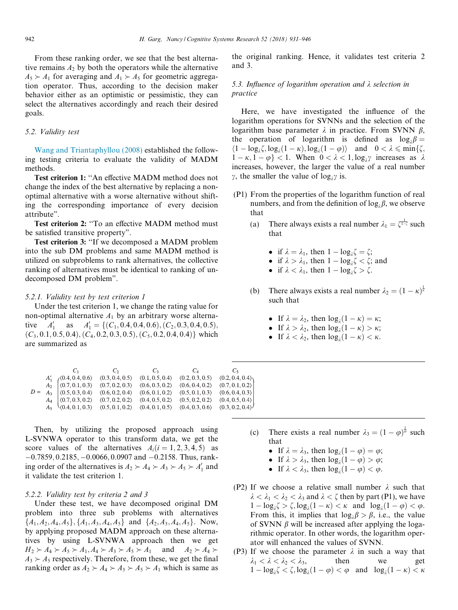From these ranking order, we see that the best alternative remains  $A_2$  by both the operators while the alternative  $A_5 \succ A_1$  for averaging and  $A_1 \succ A_5$  for geometric aggregation operator. Thus, according to the decision maker behavior either as an optimistic or pessimistic, they can select the alternatives accordingly and reach their desired goals.

#### 5.2. Validity test

[Wang and Triantaphyllou \(2008\)](#page-15-0) established the following testing criteria to evaluate the validity of MADM methods.

Test criterion 1: ''An effective MADM method does not change the index of the best alternative by replacing a nonoptimal alternative with a worse alternative without shifting the corresponding importance of every decision attribute".

Test criterion 2: ''To an effective MADM method must be satisfied transitive property".

Test criterion 3: ''If we decomposed a MADM problem into the sub DM problems and same MADM method is utilized on subproblems to rank alternatives, the collective ranking of alternatives must be identical to ranking of undecomposed DM problem".

## 5.2.1. Validity test by test criterion 1

Under the test criterion 1, we change the rating value for non-optimal alternative  $A_1$  by an arbitrary worse alternative  $A'_1$  as  $A'_1 = \{(C_1, 0.4, 0.4, 0.6), (C_2, 0.3, 0.4, 0.5), (C_3, 0.4, 0.5), (C_4, 0.2, 0.4, 0.4), (C_5, 0.4, 0.5), (C_6, 0.2, 0.4, 0.4), (C_7, 0.3, 0.5), (C_8, 0.2, 0.4, 0.4), (C_9, 0.3, 0.5), (C_1, 0.2, 0.4, 0.4), (C_1, 0.3, 0.5), (C_2,$  $(C_3, 0.1, 0.5, 0.4), (C_4, 0.2, 0.3, 0.5), (C_5, 0.2, 0.4, 0.4)$  which are summarized as

|  |                                                                                                       | $C_1$ $C_2$ $C_3$ $C_4$ $C_5$   |                                 |                                     |                 |
|--|-------------------------------------------------------------------------------------------------------|---------------------------------|---------------------------------|-------------------------------------|-----------------|
|  |                                                                                                       | $\langle 0.3, 0.4, 0.5 \rangle$ | $\langle 0.1, 0.5, 0.4 \rangle$ | $\langle 0.2, 0.3, 0.5 \rangle$     | (0.2, 0.4, 0.4) |
|  | $A'_1$ $\begin{pmatrix} \langle 0.4, 0.4, 0.6 \rangle \\ \langle 0.7, 0.1, 0.3 \rangle \end{pmatrix}$ | (0.7, 0.2, 0.3)                 | (0.6, 0.3, 0.2)                 | (0.6, 0.4, 0.2)                     | (0.7, 0.1, 0.2) |
|  | $D = A_3 \{(0.5, 0.3, 0.4)\}$                                                                         | (0.6, 0.2, 0.4)                 | $\langle 0.6, 0.1, 0.2 \rangle$ | (0.5, 0.1, 0.3)                     | (0.6, 0.4, 0.3) |
|  | $A_4$ (0.7, 0.3, 0.2)                                                                                 | $\langle 0.7, 0.2, 0.2 \rangle$ | (0.4, 0.5, 0.2)                 | (0.5, 0.2, 0.2)                     | (0.4, 0.5, 0.4) |
|  | $A_5 \quad \langle 0.4, 0.1, 0.3 \rangle$                                                             | $\langle 0.5, 0.1, 0.2 \rangle$ | (0.4, 0.1, 0.5)                 | $(0.4, 0.3, 0.6)$ $(0.3, 0.2, 0.4)$ |                 |
|  |                                                                                                       |                                 |                                 |                                     |                 |

Then, by utilizing the proposed approach using L-SVNWA operator to this transform data, we get the score values of the alternatives  $A_i(i = 1, 2, 3, 4, 5)$  as  $-0.7859, 0.2185, -0.0066, 0.0907$  and  $-0.2158$ . Thus, ranking order of the alternatives is  $A_2 \succ A_4 \succ A_3 \succ A_5 \succ A_1'$  and<br>it validate the test criterion 1 it validate the test criterion 1.

## 5.2.2. Validity test by criteria 2 and 3

Under these test, we have decomposed original DM problem into three sub problems with alternatives  $\{A_1, A_2, A_4, A_5\}, \{A_1, A_3, A_4, A_5\}$  and  $\{A_2, A_3, A_4, A_5\}$ . Now, by applying proposed MADM approach on these alternatives by using L-SVNWA approach then we get  $H_2 \rightarrow A_4 \rightarrow A_5 \rightarrow A_1, A_4 \rightarrow A_3 \rightarrow A_5 \rightarrow A_1$  and  $A_2 \rightarrow A_4 \rightarrow$  $A_3 \rightarrow A_5$  respectively. Therefore, from these, we get the final ranking order as  $A_2 \succ A_4 \succ A_3 \succ A_5 \succ A_1$  which is same as

the original ranking. Hence, it validates test criteria 2 and 3.

# 5.3. Influence of logarithm operation and  $\lambda$  selection in practice

Here, we have investigated the influence of the logarithm operations for SVNNs and the selection of the logarithm base parameter  $\lambda$  in practice. From SVNN  $\beta$ , the operation of logarithm is defined as  $log_2\beta =$  $\langle 1 - \log_2 \zeta, \log_2(1 - \kappa), \log_2(1 - \varphi) \rangle$  and  $0 < \lambda \leq \min{\{\zeta, \zeta\}}$  $1 - \kappa$ ,  $1 - \varphi$  < 1. When  $0 < \lambda < 1$ , log<sub> $\lambda$ </sub> increases as  $\lambda$ increases, however, the larger the value of a real number  $\gamma$ , the smaller the value of log<sub>2</sub> $\gamma$  is.

- (P1) From the properties of the logarithm function of real numbers, and from the definition of  $log_2\beta$ , we observe that
	- (a) There always exists a real number  $\lambda_1 = \zeta^{\frac{1}{1-\zeta}}$  such that that
		- if  $\lambda = \lambda_1$ , then  $1 \log_2 \zeta = \zeta$ ;
		- if  $\lambda > \lambda_1$ , then  $1 \log_\lambda \zeta < \zeta$ ; and<br>• if  $\lambda < \lambda_1$ , then  $1 \log_\lambda \zeta > \zeta$
		- $\overline{a}$ • if  $\lambda < \lambda_1$ , then  $1 - \log_{\lambda} \zeta > \zeta$ .
	- (b) There always exists a real number  $\lambda_2 = (1 \kappa)^{\frac{1}{\kappa}}$ such that
		- If  $\lambda = \lambda_2$ , then  $\log_{\lambda}(1 \kappa) = \kappa$ ;
		- If  $\lambda > \lambda_2$ , then  $\log_{\lambda}(1 \kappa) > \kappa$ ;<br>If  $\lambda > \lambda_2$ , then  $\log_{\lambda}(1 \kappa) < \kappa$
		- $\overline{a}$ If  $\lambda < \lambda_2$ , then  $\log_{\lambda}(1 - \kappa) < \kappa$ .

- (c) There exists a real number  $\lambda_3 = (1 \varphi)^{\frac{1}{\varphi}}$  such that that
	- If  $\lambda = \lambda_3$ , then  $\log_{\lambda}(1 \varphi) = \varphi$ ;
	- If  $\lambda > \lambda_3$ , then  $\log_\lambda(1 \varphi) > \varphi$ ;<br>
	If  $\lambda < \lambda_3$ , then  $\log_\lambda(1 \varphi) < \varphi$  $\overline{a}$
	- If  $\lambda < \lambda_3$ , then  $\log_{\lambda}(1 \varphi) < \varphi$ .
- (P2) If we choose a relative small number  $\lambda$  such that  $\lambda < \lambda_1 < \lambda_2 < \lambda_3$  and  $\lambda < \zeta$  then by part (P1), we have  $1 - \log_{\lambda} \zeta > \zeta, \log_{\lambda}(1 - \kappa) < \kappa$  and  $\log_{\lambda}(1 - \varphi) < \varphi$ . From this, it implies that  $log_{\lambda} \beta > \beta$ , i.e., the value of SVNN  $\beta$  will be increased after applying the logarithmic operator. In other words, the logarithm operator will enhanced the values of SVNN.
- (P3) If we choose the parameter  $\lambda$  in such a way that  $\lambda_1 < \lambda < \lambda_2 < \lambda_3$ , then we get  $1 - \log_2 \zeta < \zeta, \log_2(1 - \varphi) < \varphi$  and  $\log_2(1 - \kappa) < \kappa$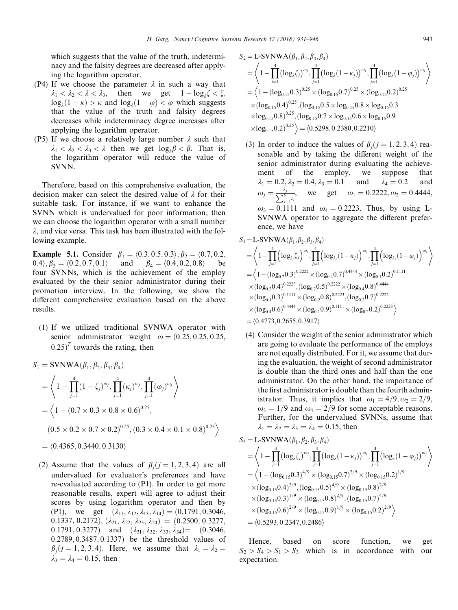which suggests that the value of the truth, indeterminacy and the falsity degrees are decreased after applying the logarithm operator.

- (P4) If we choose the parameter  $\lambda$  in such a way that  $\lambda_1 < \lambda_2 < \lambda < \lambda_3$ , then we get  $1 - \log_2 \zeta < \zeta$ ,  $\log_{\lambda}(1 - \kappa) > \kappa$  and  $\log_{\lambda}(1 - \varphi) < \varphi$  which suggests that the value of the truth and falsity degrees decreases while indeterminacy degree increases after applying the logarithm operator.
- (P5) If we choose a relatively large number  $\lambda$  such that  $\lambda_1 < \lambda_2 < \lambda_3 < \lambda$  then we get  $\log_{\lambda} \beta < \beta$ . That is, the logarithm operator will reduce the value of SVNN.

Therefore, based on this comprehensive evaluation, the decision maker can select the desired value of  $\lambda$  for their suitable task. For instance, if we want to enhance the SVNN which is undervalued for poor information, then we can choose the logarithm operator with a small number  $\lambda$ , and vice versa. This task has been illustrated with the following example.

**Example 5.1.** Consider  $\beta_1 = \langle 0.3, 0.5, 0.3 \rangle$ ,  $\beta_2 = \langle 0.7, 0.2, 0.4 \rangle$ .  $\beta_3 = \langle 0.2, 0.7, 0.1 \rangle$  and  $\beta_4 = \langle 0.4, 0.2, 0.8 \rangle$  be 0.4 $\langle \beta_3 = \langle 0.2, 0.7, 0.1 \rangle$  and  $\beta_4 = \langle 0.4, 0.2, 0.8 \rangle$ four SVNNs, which is the achievement of the employ evaluated by the their senior administrator during their promotion interview. In the following, we show the different comprehensive evaluation based on the above results.

(1) If we utilized traditional SVNWA operator with senior administrator weight  $\omega = (0.25, 0.25, 0.25, ...)$  $(0.25)^T$  towards the rating, then

$$
S_1 = \text{SVNWA}(\beta_1, \beta_2, \beta_3, \beta_4)
$$
  
=  $\left\langle 1 - \prod_{j=1}^4 (1 - \zeta_j)^{\omega_j}, \prod_{j=1}^4 (\kappa_j)^{\omega_j}, \prod_{j=1}^4 (\varphi_j)^{\omega_j} \right\rangle$   
=  $\left\langle 1 - (0.7 \times 0.3 \times 0.8 \times 0.6)^{0.25}, (0.3 \times 0.4 \times 0.1 \times 0.8)^{0.25} \right\rangle$   
=  $\langle 0.4365, 0.3440, 0.3130 \rangle$ 

(2) Assume that the values of  $\beta_i$  ( $j = 1, 2, 3, 4$ ) are all undervalued for evaluator's preferences and have re-evaluated according to (P1). In order to get more reasonable results, expert will agree to adjust their scores by using logarithm operator and then by (P1), we get  $(\lambda_{11}, \lambda_{12}, \lambda_{13}, \lambda_{14}) = (0.1791, 0.3046,$ 0.1337, 0.2172),  $(\lambda_{21}, \lambda_{22}, \lambda_{23}, \lambda_{24}) = (0.2500, 0.3277,$ 0.1791, 0.3277) and  $(\lambda_{31}, \lambda_{32}, \lambda_{33}, \lambda_{34}) = (0.3046,$  $(0.2789, 0.3487, 0.1337)$  be the threshold values of  $\beta_j$ ( $j = 1, 2, 3, 4$ ). Here, we assume that  $\lambda_1 = \lambda_2 =$  $\lambda_3 = \lambda_4 = 0.15$ , then

$$
S_2 = L-SVNWA(\beta_1, \beta_2, \beta_3, \beta_4)
$$
  
=  $\left\langle 1 - \prod_{j=1}^4 (\log_z \zeta_j)^{\omega_j}, \prod_{j=1}^4 (\log_z (1 - \kappa_j))^{\omega_j}, \prod_{j=1}^4 (\log_z (1 - \varphi_j))^{\omega_j} \right\rangle$   
=  $\left\langle 1 - (\log_{0.15} 0.3)^{0.25} \times (\log_{0.15} 0.7)^{0.25} \times (\log_{0.15} 0.2)^{0.25} \right\rangle$   
 $\times (\log_{0.15} 0.4)^{0.25}, (\log_{0.15} 0.5 \times \log_{0.15} 0.8 \times \log_{0.15} 0.3 \times \log_{0.15} 0.8)^{0.25}, (\log_{0.15} 0.7 \times \log_{0.15} 0.6 \times \log_{0.15} 0.9 \times \log_{0.15} 0.2)^{0.25} \right\rangle = \left\langle 0.5298, 0.2380, 0.2210 \right\rangle$ 

(3) In order to induce the values of  $\beta_j$  ( $j = 1, 2, 3, 4$ ) reasonable and by taking the different weight of the senior administrator during evaluating the achievement of the employ, we suppose that  $\lambda_1 = 0.2, \lambda_2 = 0.4, \lambda_3 = 0.1$  and  $\lambda_4 = 0.2$  and  $\omega_j = \frac{\lambda_j}{\sum_{j=1}^5}$  $\frac{\lambda_j}{\lambda_j}$ , we get  $\omega_1 = 0.2222, \omega_2 = 0.4444,$  $\omega_3 = 0.1111$  and  $\omega_4 = 0.2223$ . Thus, by using L-SVNWA operator to aggregate the different preference, we have

$$
S_3 = L-SVNWA(\beta_1, \beta_2, \beta_3, \beta_4)
$$
  
=  $\left\langle 1 - \prod_{j=1}^4 \left( \log_{\lambda_j} \zeta_j \right)^{\omega_j}, \prod_{j=1}^4 \left( \log_{\lambda_j} (1 - \kappa_j) \right)^{\omega_j}, \prod_{j=1}^4 \left( \log_{\lambda_j} (1 - \varphi_j) \right)^{\omega_j} \right\rangle$   
=  $\left\langle 1 - (\log_{0.2} 0.3)^{0.2222} \times (\log_{0.4} 0.7)^{0.4444} \times (\log_{0.1} 0.2)^{0.1111} \right\rangle$   
 $\times (\log_{0.2} 0.4)^{0.2223}, (\log_{0.2} 0.5)^{0.2222} \times (\log_{0.4} 0.8)^{0.4444}$   
 $\times (\log_{0.1} 0.3)^{0.1111} \times (\log_{0.2} 0.8)^{0.2223}, (\log_{0.2} 0.7)^{0.2222} \left\langle (\log_{0.4} 0.6)^{0.4444} \times (\log_{0.1} 0.9)^{0.1111} \times (\log_{0.2} 0.2)^{0.2223} \right\rangle$   
=  $\langle 0.4773, 0.2655, 0.3917 \rangle$ 

(4) Consider the weight of the senior administrator which are going to evaluate the performance of the employs are not equally distributed. For it, we assume that during the evaluation, the weight of second administrator is double than the third ones and half than the one administrator. On the other hand, the importance of the first administrator is double than the fourth administrator. Thus, it implies that  $\omega_1 = 4/9, \omega_2 = 2/9$ ,  $\omega_3 = 1/9$  and  $\omega_4 = 2/9$  for some acceptable reasons. Further, for the undervalued SVNNs, assume that  $\lambda_1 = \lambda_2 = \lambda_3 = \lambda_4 = 0.15$ , then

$$
S_4 = \text{L-SVNWA}(\beta_1, \beta_2, \beta_3, \beta_4)
$$
  
=  $\left\langle 1 - \prod_{j=1}^4 (\log_z \zeta_j)^{\omega_j}, \prod_{j=1}^4 (\log_\lambda (1 - \kappa_j))^{\omega_j}, \prod_{j=1}^4 (\log_\lambda (1 - \varphi_j))^{\omega_j} \right\rangle$   
=  $\left\langle 1 - (\log_{0.15} 0.3)^{4/9} \times (\log_{0.15} 0.7)^{2/9} \times (\log_{0.15} 0.2)^{1/9} \right\rangle$   
 $\times (\log_{0.15} 0.4)^{2/9}, (\log_{0.15} 0.5)^{4/9} \times (\log_{0.15} 0.8)^{2/9}$   
 $\times (\log_{0.15} 0.3)^{1/9} \times (\log_{0.15} 0.8)^{2/9}, (\log_{0.15} 0.7)^{4/9}$   
 $\times (\log_{0.15} 0.6)^{2/9} \times (\log_{0.15} 0.9)^{1/9} \times (\log_{0.15} 0.2)^{2/9}$   
=  $\langle 0.5293, 0.2347, 0.2486 \rangle$ 

Hence, based on score function, we get  $S_2 > S_4 > S_1 > S_3$  which is in accordance with our expectation.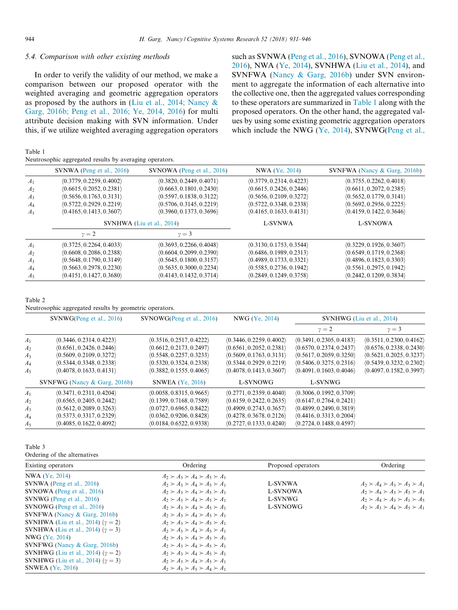#### <span id="page-13-0"></span>5.4. Comparison with other existing methods

In order to verify the validity of our method, we make a comparison between our proposed operator with the weighted averaging and geometric aggregation operators as proposed by the authors in (Liu et al., 2014; Nancy  $\&$ [Garg, 2016b; Peng et al., 2016; Ye, 2014, 2016\)](#page-15-0) for multi attribute decision making with SVN information. Under this, if we utilize weighted averaging aggregation operators

Table 1

Neutrosophic aggregated results by averaging operators.

such as SVNWA [\(Peng et al., 2016\)](#page-15-0), SVNOWA ([Peng et al.,](#page-15-0) [2016\)](#page-15-0), NWA ([Ye, 2014\)](#page-15-0), SVNHWA ([Liu et al., 2014\)](#page-15-0), and SVNFWA ([Nancy & Garg, 2016b](#page-15-0)) under SVN environment to aggregate the information of each alternative into the collective one, then the aggregated values corresponding to these operators are summarized in Table 1 along with the proposed operators. On the other hand, the aggregated values by using some existing geometric aggregation operators which include the NWG [\(Ye, 2014](#page-15-0)), SVNWG[\(Peng et al.,](#page-15-0)

|                | SVNWA (Peng et al., 2016)                            | SVNOWA (Peng et al., 2016) | NWA (Ye, 2014)           | SVNFWA (Nancy & Garg, 2016b) |
|----------------|------------------------------------------------------|----------------------------|--------------------------|------------------------------|
| A <sub>1</sub> | (0.3779, 0.2259, 0.4002)                             | (0.3820, 0.2449, 0.4071)   | (0.3779, 0.2314, 0.4223) | (0.3755, 0.2262, 0.4018)     |
| A <sub>2</sub> | (0.6615, 0.2052, 0.2381)                             | (0.6663, 0.1801, 0.2430)   | (0.6615, 0.2426, 0.2446) | (0.6611, 0.2072, 0.2385)     |
| $A_3$          | (0.5656, 0.1763, 0.3131)                             | (0.5597, 0.1838, 0.3122)   | (0.5656, 0.2109, 0.3272) | (0.5652, 0.1779, 0.3141)     |
| $A_4$          | (0.5722, 0.2929, 0.2219)                             | (0.5706, 0.3145, 0.2219)   | (0.5722, 0.3348, 0.2338) | (0.5692, 0.2956, 0.2225)     |
| $A_5$          | (0.4165, 0.1413, 0.3607)<br>(0.3960, 0.1373, 0.3696) |                            | (0.4165, 0.1633, 0.4131) | (0.4159, 0.1422, 0.3646)     |
|                | SVNHWA (Liu et al., 2014)                            |                            | <b>L-SVNWA</b>           | <b>L-SVNOWA</b>              |
|                | $\gamma=2$                                           | $v=3$                      |                          |                              |
| A <sub>1</sub> | (0.3725, 0.2264, 0.4033)                             | (0.3693, 0.2266, 0.4048)   | (0.3130, 0.1753, 0.3544) | (0.3229, 0.1926, 0.3607)     |
| A <sub>2</sub> | (0.6608, 0.2086, 0.2388)                             | (0.6604, 0.2099, 0.2390)   | (0.6486, 0.1989, 0.2313) | (0.6549, 0.1719, 0.2368)     |
| $A_3$          | (0.5648, 0.1790, 0.3149)                             | (0.5645, 0.1800, 0.3157)   | (0.4989, 0.1733, 0.3321) | (0.4896, 0.1823, 0.3303)     |
| $A_4$          | (0.5663, 0.2978, 0.2230)                             | (0.5635, 0.3000, 0.2234)   | (0.5585, 0.2736, 0.1942) | (0.5561, 0.2975, 0.1942)     |
| $A_5$          | (0.4151, 0.1427, 0.3680)                             | (0.4143, 0.1432, 0.3714)   | (0.2849, 0.1249, 0.3758) | (0.2442, 0.1209, 0.3834)     |

Table 2

Neutrosophic aggregated results by geometric operators.

|                | SVMWG(Peng et al., 2016)               | SVMOWG(Peng et al., 2016) | NWG (Ye, 2014)           | SVNHWG (Liu et al., 2014) |                          |
|----------------|----------------------------------------|---------------------------|--------------------------|---------------------------|--------------------------|
|                |                                        |                           |                          | $\gamma=2$                | $\gamma = 3$             |
| A <sub>1</sub> | (0.3446, 0.2314, 0.4223)               | (0.3516, 0.2517, 0.4222)  | (0.3446, 0.2259, 0.4002) | (0.3491, 0.2305, 0.4183)  | (0.3511, 0.2300, 0.4162) |
| A <sub>2</sub> | (0.6561, 0.2426, 0.2446)               | (0.6612, 0.2173, 0.2497)  | (0.6561, 0.2052, 0.2381) | (0.6570, 0.2374, 0.2437)  | (0.6576, 0.2338, 0.2430) |
| $A_3$          | (0.5609, 0.2109, 0.3272)               | (0.5548, 0.2257, 0.3233)  | (0.5609, 0.1763, 0.3131) | (0.5617, 0.2059, 0.3250)  | (0.5621, 0.2025, 0.3237) |
| $A_4$          | (0.5344, 0.3348, 0.2338)               | (0.5320, 0.3524, 0.2338)  | (0.5344, 0.2929, 0.2219) | (0.5406, 0.3275, 0.2316)  | (0.5439, 0.3232, 0.2302) |
| $A_5$          | (0.4078, 0.1633, 0.4131)               | (0.3882, 0.1555, 0.4065)  | (0.4078, 0.1413, 0.3607) | (0.4091, 0.1603, 0.4046)  | (0.4097, 0.1582, 0.3997) |
|                | <b>SVNFWG</b> (Nancy $\&$ Garg, 2016b) | SNWEA $(Ye, 2016)$        | L-SVNOWG                 | L-SVNWG                   |                          |
| A <sub>1</sub> | (0.3471, 0.2311, 0.4204)               | (0.0058, 0.8315, 0.9665)  | (0.2771, 0.2359, 0.4040) | (0.3006, 0.1992, 0.3709)  |                          |
| A <sub>2</sub> | (0.6565, 0.2405, 0.2442)               | (0.1399, 0.7168, 0.7589)  | (0.6159, 0.2422, 0.2635) | (0.6147, 0.2764, 0.2421)  |                          |
| $A_3$          | (0.5612, 0.2089, 0.3263)               | (0.0727, 0.6965, 0.8422)  | (0.4909, 0.2743, 0.3657) | (0.4899, 0.2490, 0.3819)  |                          |
| $A_4$          | (0.5373, 0.3317, 0.2329)               | (0.0362, 0.9206, 0.8428)  | (0.4278, 0.3678, 0.2126) | (0.4416, 0.3313, 0.2004)  |                          |
| $A_5$          | (0.4085, 0.1622, 0.4092)               | (0.0184, 0.6522, 0.9338)  | (0.2727, 0.1333, 0.4240) | (0.2724, 0.1488, 0.4597)  |                          |

Table 3

Ordering of the alternatives

| Existing operators                         | Ordering                                      | Proposed operators | Ordering                                      |
|--------------------------------------------|-----------------------------------------------|--------------------|-----------------------------------------------|
| NWA (Ye, 2014)                             | $A_2 \succ A_3 \succ A_4 \succ A_5 \succ A_1$ |                    |                                               |
| SVNWA (Peng et al., 2016)                  | $A_2 \succ A_3 \succ A_4 \succ A_5 \succ A_1$ | <b>L-SVNWA</b>     | $A_2 \succ A_4 \succ A_3 \succ A_5 \succ A_1$ |
| SVNOWA (Peng et al., 2016)                 | $A_2 \succ A_3 \succ A_4 \succ A_5 \succ A_1$ | <b>L-SVNOWA</b>    | $A_2 \succ A_4 \succ A_3 \succ A_5 \succ A_1$ |
| SVNWG (Peng et al., 2016)                  | $A_2 \succ A_3 \succ A_4 \succ A_5 \succ A_1$ | L-SVNWG            | $A_2 \succ A_4 \succ A_3 \succ A_1 \succ A_5$ |
| SVNOWG (Peng et al., 2016)                 | $A_2 \succ A_3 \succ A_4 \succ A_5 \succ A_1$ | L-SVNOWG           | $A_2 \succ A_3 \succ A_4 \succ A_5 \succ A_1$ |
| SVNFWA (Nancy $\&$ Garg, 2016b)            | $A_2 \succ A_3 \succ A_4 \succ A_5 \succ A_1$ |                    |                                               |
| SVNHWA (Liu et al., 2014) $(y = 2)$        | $A_2 \succ A_3 \succ A_4 \succ A_5 \succ A_1$ |                    |                                               |
| SVNHWA (Liu et al., 2014) $(y = 3)$        | $A_2 \succ A_3 \succ A_4 \succ A_5 \succ A_1$ |                    |                                               |
| NWG (Ye, 2014)                             | $A_2 \succ A_3 \succ A_4 \succ A_5 \succ A_1$ |                    |                                               |
| SVMFWG (Nancy & Garg, 2016b)               | $A_2 \succ A_3 \succ A_4 \succ A_5 \succ A_1$ |                    |                                               |
| SVNHWG (Liu et al., 2014) $(y = 2)$        | $A_2 \succ A_3 \succ A_4 \succ A_5 \succ A_1$ |                    |                                               |
| <b>SVNHWG</b> (Liu et al., 2014) $(y = 3)$ | $A_2 \succ A_3 \succ A_4 \succ A_5 \succ A_1$ |                    |                                               |
| SNWEA $(Ye, 2016)$                         | $A_2 \succ A_3 \succ A_5 \succ A_4 \succ A_1$ |                    |                                               |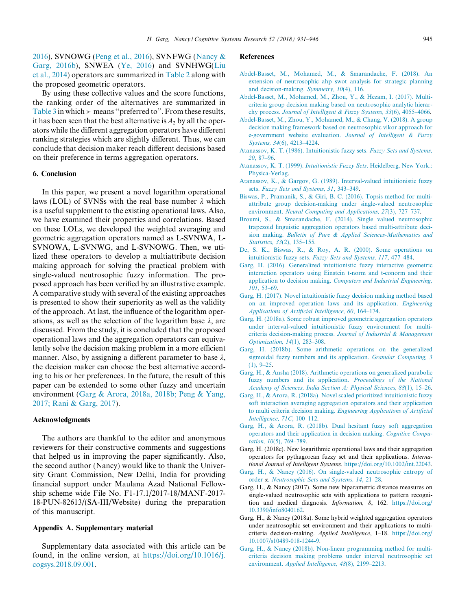<span id="page-14-0"></span>[2016](#page-15-0)), SVNOWG [\(Peng et al., 2016](#page-15-0)), SVNFWG ([Nancy &](#page-15-0) [Garg, 2016b](#page-15-0)), SNWEA [\(Ye, 2016](#page-15-0)) and SVNHWG([Liu](#page-15-0) [et al., 2014\)](#page-15-0) operators are summarized in [Table 2](#page-13-0) along with the proposed geometric operators.

By using these collective values and the score functions, the ranking order of the alternatives are summarized in [Table 3](#page-13-0) in which  $\succ$  means "preferred to". From these results, it has been seen that the best alternative is  $A_2$  by all the operators while the different aggregation operators have different ranking strategies which are slightly different. Thus, we can conclude that decision maker reach different decisions based on their preference in terms aggregation operators.

## 6. Conclusion

In this paper, we present a novel logarithm operational laws (LOL) of SVNSs with the real base number  $\lambda$  which is a useful supplement to the existing operational laws. Also, we have examined their properties and correlations. Based on these LOLs, we developed the weighted averaging and geometric aggregation operators named as L-SVNWA, L-SVNOWA, L-SVNWG, and L-SVNOWG. Then, we utilized these operators to develop a multiattribute decision making approach for solving the practical problem with single-valued neutrosophic fuzzy information. The proposed approach has been verified by an illustrative example. A comparative study with several of the existing approaches is presented to show their superiority as well as the validity of the approach. At last, the influence of the logarithm operations, as well as the selection of the logarithm base  $\lambda$ , are discussed. From the study, it is concluded that the proposed operational laws and the aggregation operators can equivalently solve the decision making problem in a more efficient manner. Also, by assigning a different parameter to base  $\lambda$ , the decision maker can choose the best alternative according to his or her preferences. In the future, the result of this paper can be extended to some other fuzzy and uncertain environment (Garg & Arora, 2018a, 2018b; Peng & Yang, 2017; Rani & Garg, 2017).

## Acknowledgments

The authors are thankful to the editor and anonymous reviewers for their constructive comments and suggestions that helped us in improving the paper significantly. Also, the second author (Nancy) would like to thank the University Grant Commission, New Delhi, India for providing financial support under Maulana Azad National Fellowship scheme wide File No. F1-17.1/2017-18/MANF-2017- 18-PUN-82613/(SA-III/Website) during the preparation of this manuscript.

#### Appendix A. Supplementary material

Supplementary data associated with this article can be found, in the online version, at [https://doi.org/10.1016/j.](https://doi.org/10.1016/j.cogsys.2018.09.001) [cogsys.2018.09.001](https://doi.org/10.1016/j.cogsys.2018.09.001).

### References

- [Abdel-Basset, M., Mohamed, M., & Smarandache, F. \(2018\). An](http://refhub.elsevier.com/S1389-0417(18)30451-0/h0005) [extension of neutrosophic ahp–swot analysis for strategic planning](http://refhub.elsevier.com/S1389-0417(18)30451-0/h0005) [and decision-making.](http://refhub.elsevier.com/S1389-0417(18)30451-0/h0005) Symmetry, 10(4[\), 116](http://refhub.elsevier.com/S1389-0417(18)30451-0/h0005).
- [Abdel-Basset, M., Mohamed, M., Zhou, Y., & Hezam, I. \(2017\). Multi](http://refhub.elsevier.com/S1389-0417(18)30451-0/h0010)[criteria group decision making based on neutrosophic analytic hierar](http://refhub.elsevier.com/S1389-0417(18)30451-0/h0010)chy process. [Journal of Intelligent & Fuzzy Systems, 33](http://refhub.elsevier.com/S1389-0417(18)30451-0/h0010)(6)[, 4055–4066](http://refhub.elsevier.com/S1389-0417(18)30451-0/h0010).
- [Abdel-Basset, M., Zhou, Y., Mohamed, M., & Chang, V. \(2018\). A group](http://refhub.elsevier.com/S1389-0417(18)30451-0/h0015) [decision making framework based on neutrosophic vikor approach for](http://refhub.elsevier.com/S1389-0417(18)30451-0/h0015) [e-government website evaluation.](http://refhub.elsevier.com/S1389-0417(18)30451-0/h0015) Journal of Intelligent & Fuzzy [Systems, 34](http://refhub.elsevier.com/S1389-0417(18)30451-0/h0015)(6)[, 4213–4224](http://refhub.elsevier.com/S1389-0417(18)30451-0/h0015).
- [Atanassov, K. T. \(1986\). Intuitionistic fuzzy sets.](http://refhub.elsevier.com/S1389-0417(18)30451-0/h0020) Fuzzy Sets and Systems, [20](http://refhub.elsevier.com/S1389-0417(18)30451-0/h0020)[, 87–96](http://refhub.elsevier.com/S1389-0417(18)30451-0/h0020).
- [Atanassov, K. T. \(1999\).](http://refhub.elsevier.com/S1389-0417(18)30451-0/h0025) Intuitionistic Fuzzy Sets[. Heidelberg, New York.:](http://refhub.elsevier.com/S1389-0417(18)30451-0/h0025) [Physica-Verlag](http://refhub.elsevier.com/S1389-0417(18)30451-0/h0025).
- [Atanassov, K., & Gargov, G. \(1989\). Interval-valued intuitionistic fuzzy](http://refhub.elsevier.com/S1389-0417(18)30451-0/h0030) sets. [Fuzzy Sets and Systems, 31](http://refhub.elsevier.com/S1389-0417(18)30451-0/h0030)[, 343–349.](http://refhub.elsevier.com/S1389-0417(18)30451-0/h0030)
- [Biswas, P., Pramanik, S., & Giri, B. C. \(2016\). Topsis method for multi](http://refhub.elsevier.com/S1389-0417(18)30451-0/h0035)[attribute group decision-making under single-valued neutrosophic](http://refhub.elsevier.com/S1389-0417(18)30451-0/h0035) environment. [Neural Computing and Applications, 27](http://refhub.elsevier.com/S1389-0417(18)30451-0/h0035)(3)[, 727–737](http://refhub.elsevier.com/S1389-0417(18)30451-0/h0035).
- [Broumi, S., & Smarandache, F. \(2014\). Single valued neutrosophic](http://refhub.elsevier.com/S1389-0417(18)30451-0/h0040) [trapezoid linguistic aggregation operators based multi-attribute deci](http://refhub.elsevier.com/S1389-0417(18)30451-0/h0040)sion making. [Bulletin of Pure & Applied Sciences-Mathematics and](http://refhub.elsevier.com/S1389-0417(18)30451-0/h0040) [Statistics, 33](http://refhub.elsevier.com/S1389-0417(18)30451-0/h0040)(2[\), 135–155.](http://refhub.elsevier.com/S1389-0417(18)30451-0/h0040)
- [De, S. K., Biswas, R., & Roy, A. R. \(2000\). Some operations on](http://refhub.elsevier.com/S1389-0417(18)30451-0/h0045) intuitionistic fuzzy sets. [Fuzzy Sets and Systems, 117](http://refhub.elsevier.com/S1389-0417(18)30451-0/h0045)[, 477–484.](http://refhub.elsevier.com/S1389-0417(18)30451-0/h0045)
- [Garg, H. \(2016\). Generalized intuitionistic fuzzy interactive geometric](http://refhub.elsevier.com/S1389-0417(18)30451-0/h0050) [interaction operators using Einstein t-norm and t-conorm and their](http://refhub.elsevier.com/S1389-0417(18)30451-0/h0050) application to decision making. [Computers and Industrial Engineering,](http://refhub.elsevier.com/S1389-0417(18)30451-0/h0050) [101](http://refhub.elsevier.com/S1389-0417(18)30451-0/h0050)[, 53–69](http://refhub.elsevier.com/S1389-0417(18)30451-0/h0050).
- [Garg, H. \(2017\). Novel intuitionistic fuzzy decision making method based](http://refhub.elsevier.com/S1389-0417(18)30451-0/h0055) [on an improved operation laws and its application.](http://refhub.elsevier.com/S1389-0417(18)30451-0/h0055) Engineering [Applications of Artificial Intelligence, 60](http://refhub.elsevier.com/S1389-0417(18)30451-0/h0055)[, 164–174](http://refhub.elsevier.com/S1389-0417(18)30451-0/h0055).
- [Garg, H. \(2018a\). Some robust improved geometric aggregation operators](http://refhub.elsevier.com/S1389-0417(18)30451-0/h0060) [under interval-valued intuitionistic fuzzy environment for multi](http://refhub.elsevier.com/S1389-0417(18)30451-0/h0060)criteria decision-making process. [Journal of Industrial & Management](http://refhub.elsevier.com/S1389-0417(18)30451-0/h0060) [Optimization, 14](http://refhub.elsevier.com/S1389-0417(18)30451-0/h0060)(1)[, 283–308.](http://refhub.elsevier.com/S1389-0417(18)30451-0/h0060)
- [Garg, H. \(2018b\). Some arithmetic operations on the generalized](http://refhub.elsevier.com/S1389-0417(18)30451-0/h0065) [sigmoidal fuzzy numbers and its application.](http://refhub.elsevier.com/S1389-0417(18)30451-0/h0065) Granular Computing, 3 [\(1\), 9–25](http://refhub.elsevier.com/S1389-0417(18)30451-0/h0065).
- [Garg, H., & Ansha \(2018\). Arithmetic operations on generalized parabolic](http://refhub.elsevier.com/S1389-0417(18)30451-0/h0070) [fuzzy numbers and its application.](http://refhub.elsevier.com/S1389-0417(18)30451-0/h0070) Proceedings of the National [Academy of Sciences, India Section A: Physical Sciences, 88](http://refhub.elsevier.com/S1389-0417(18)30451-0/h0070)(1)[, 15–26](http://refhub.elsevier.com/S1389-0417(18)30451-0/h0070).
- [Garg, H., & Arora, R. \(2018a\). Novel scaled prioritized intuitionistic fuzzy](http://refhub.elsevier.com/S1389-0417(18)30451-0/h0075) [soft interaction averaging aggregation operators and their application](http://refhub.elsevier.com/S1389-0417(18)30451-0/h0075) to multi criteria decision making. [Engineering Applications of Artificial](http://refhub.elsevier.com/S1389-0417(18)30451-0/h0075) [Intelligence, 71C](http://refhub.elsevier.com/S1389-0417(18)30451-0/h0075)[, 100–112.](http://refhub.elsevier.com/S1389-0417(18)30451-0/h0075)
- [Garg, H., & Arora, R. \(2018b\). Dual hesitant fuzzy soft aggregation](http://refhub.elsevier.com/S1389-0417(18)30451-0/h0080) [operators and their application in decision making.](http://refhub.elsevier.com/S1389-0417(18)30451-0/h0080) Cognitive Compu[tation, 10](http://refhub.elsevier.com/S1389-0417(18)30451-0/h0080)(5)[, 769–789](http://refhub.elsevier.com/S1389-0417(18)30451-0/h0080).
- Garg, H. (2018c). New logarithmic operational laws and their aggregation operators for pythagorean fuzzy set and their applications. International Journal of Intelligent Systems. <https://doi.org/10.1002/int.22043>.
- [Garg, H., & Nancy \(2016\). On single-valued neutrosophic entropy of](http://refhub.elsevier.com/S1389-0417(18)30451-0/h0090) [order](http://refhub.elsevier.com/S1389-0417(18)30451-0/h0090) a. [Neutrosophic Sets and Systems, 14](http://refhub.elsevier.com/S1389-0417(18)30451-0/h0090)[, 21–28.](http://refhub.elsevier.com/S1389-0417(18)30451-0/h0090)
- Garg, H., & Nancy (2017). Some new biparametric distance measures on single-valued neutrosophic sets with applications to pattern recognition and medical diagnosis. Information, 8, 162. [https://doi.org/](https://doi.org/10.3390/info8040162) [10.3390/info8040162.](https://doi.org/10.3390/info8040162)
- Garg, H., & Nancy (2018a). Some hybrid weighted aggregation operators under neutrosophic set environment and their applications to multicriteria decision-making. Applied Intelligence, 1–18. [https://doi.org/](https://doi.org/10.1007/s10489-018-1244-9) [10.1007/s10489-018-1244-9](https://doi.org/10.1007/s10489-018-1244-9).
- [Garg, H., & Nancy \(2018b\). Non-linear programming method for multi](http://refhub.elsevier.com/S1389-0417(18)30451-0/h0105)[criteria decision making problems under interval neutrosophic set](http://refhub.elsevier.com/S1389-0417(18)30451-0/h0105) environment. [Applied Intelligence, 48](http://refhub.elsevier.com/S1389-0417(18)30451-0/h0105)(8[\), 2199–2213.](http://refhub.elsevier.com/S1389-0417(18)30451-0/h0105)